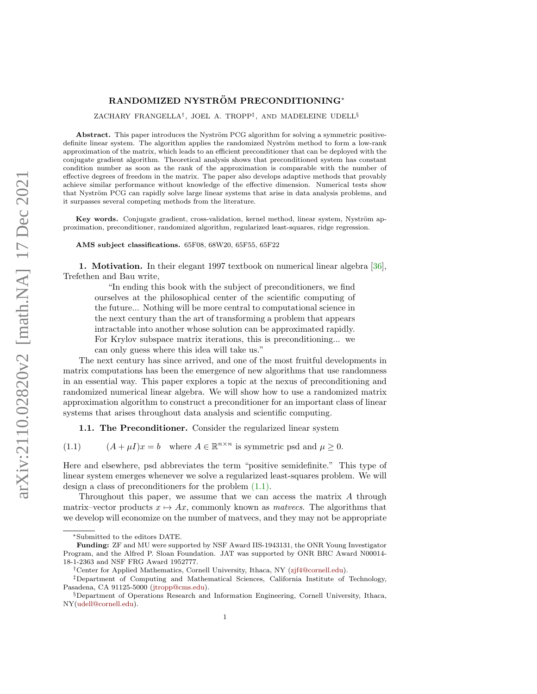# RANDOMIZED NYSTRÖM PRECONDITIONING\*

ZACHARY FRANGELLA† , JOEL A. TROPP‡ , AND MADELEINE UDELL§

Abstract. This paper introduces the Nyström PCG algorithm for solving a symmetric positivedefinite linear system. The algorithm applies the randomized Nyström method to form a low-rank approximation of the matrix, which leads to an efficient preconditioner that can be deployed with the conjugate gradient algorithm. Theoretical analysis shows that preconditioned system has constant condition number as soon as the rank of the approximation is comparable with the number of effective degrees of freedom in the matrix. The paper also develops adaptive methods that provably achieve similar performance without knowledge of the effective dimension. Numerical tests show that Nyström PCG can rapidly solve large linear systems that arise in data analysis problems, and it surpasses several competing methods from the literature.

Key words. Conjugate gradient, cross-validation, kernel method, linear system, Nyström approximation, preconditioner, randomized algorithm, regularized least-squares, ridge regression.

AMS subject classifications. 65F08, 68W20, 65F55, 65F22

1. Motivation. In their elegant 1997 textbook on numerical linear algebra [\[36\]](#page-24-0), Trefethen and Bau write,

"In ending this book with the subject of preconditioners, we find ourselves at the philosophical center of the scientific computing of the future... Nothing will be more central to computational science in the next century than the art of transforming a problem that appears intractable into another whose solution can be approximated rapidly. For Krylov subspace matrix iterations, this is preconditioning... we can only guess where this idea will take us."

The next century has since arrived, and one of the most fruitful developments in matrix computations has been the emergence of new algorithms that use randomness in an essential way. This paper explores a topic at the nexus of preconditioning and randomized numerical linear algebra. We will show how to use a randomized matrix approximation algorithm to construct a preconditioner for an important class of linear systems that arises throughout data analysis and scientific computing.

<span id="page-0-0"></span>1.1. The Preconditioner. Consider the regularized linear system

(1.1)  $(A + \mu I)x = b$  where  $A \in \mathbb{R}^{n \times n}$  is symmetric psd and  $\mu \ge 0$ .

Here and elsewhere, psd abbreviates the term "positive semidefinite." This type of linear system emerges whenever we solve a regularized least-squares problem. We will design a class of preconditioners for the problem [\(1.1\).](#page-0-0)

Throughout this paper, we assume that we can access the matrix A through matrix–vector products  $x \mapsto Ax$ , commonly known as matrices. The algorithms that we develop will economize on the number of matvecs, and they may not be appropriate

<sup>∗</sup>Submitted to the editors DATE.

Funding: ZF and MU were supported by NSF Award IIS-1943131, the ONR Young Investigator Program, and the Alfred P. Sloan Foundation. JAT was supported by ONR BRC Award N00014- 18-1-2363 and NSF FRG Award 1952777.

<sup>†</sup>Center for Applied Mathematics, Cornell University, Ithaca, NY [\(zjf4@cornell.edu\)](mailto:zjf4@cornell.edu).

<sup>‡</sup>Department of Computing and Mathematical Sciences, California Institute of Technology, Pasadena, CA 91125-5000 [\(jtropp@cms.edu\)](mailto:jtropp@cms.edu).

<sup>§</sup>Department of Operations Research and Information Engineering, Cornell University, Ithaca, NY[\(udell@cornell.edu\)](mailto:udell@cornell.edu).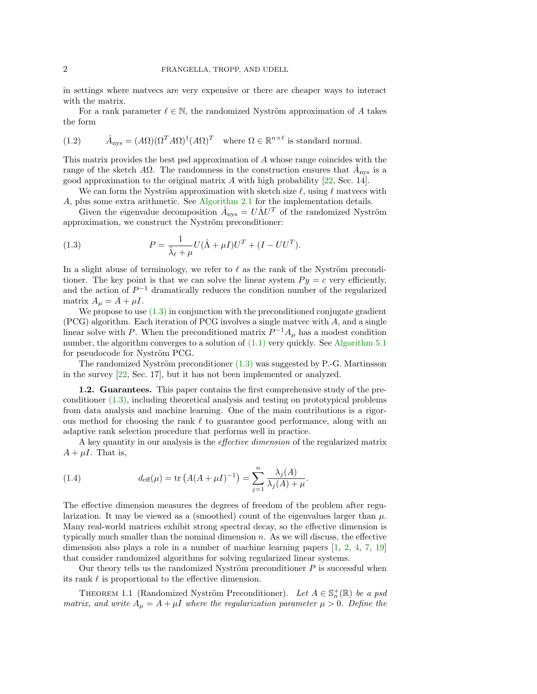in settings where matvecs are very expensive or there are cheaper ways to interact with the matrix.

For a rank parameter  $\ell \in \mathbb{N}$ , the randomized Nyström approximation of A takes the form

<span id="page-1-2"></span>(1.2) 
$$
\hat{A}_{\text{nys}} = (A\Omega)(\Omega^T A \Omega)^{\dagger} (A\Omega)^T \text{ where } \Omega \in \mathbb{R}^{n \times \ell} \text{ is standard normal.}
$$

This matrix provides the best psd approximation of A whose range coincides with the range of the sketch A $\Omega$ . The randomness in the construction ensures that  $\hat{A}_{\text{nys}}$  is a good approximation to the original matrix  $A$  with high probability [\[22,](#page-23-0) Sec. 14].

We can form the Nyström approximation with sketch size  $\ell$ , using  $\ell$  matvecs with A, plus some extra arithmetic. See [Algorithm 2.1](#page-4-0) for the implementation details.

Given the eigenvalue decomposition  $\hat{A}_{\text{nys}} = U \hat{\Lambda} U^{T}$  of the randomized Nyström approximation, we construct the Nyström preconditioner:

<span id="page-1-0"></span>(1.3) 
$$
P = \frac{1}{\hat{\lambda}_{\ell} + \mu} U(\hat{\Lambda} + \mu I)U^{T} + (I - UU^{T}).
$$

In a slight abuse of terminology, we refer to  $\ell$  as the rank of the Nyström preconditioner. The key point is that we can solve the linear system  $Py = c$  very efficiently, and the action of  $P^{-1}$  dramatically reduces the condition number of the regularized matrix  $A_{\mu} = A + \mu I$ .

We propose to use  $(1.3)$  in conjunction with the preconditioned conjugate gradient (PCG) algorithm. Each iteration of PCG involves a single matvec with A, and a single linear solve with P. When the preconditioned matrix  $P^{-1}A_\mu$  has a modest condition number, the algorithm converges to a solution of [\(1.1\)](#page-0-0) very quickly. See [Algorithm 5.1](#page-9-0) for pseudocode for Nyström PCG.

The randomized Nyström preconditioner  $(1.3)$  was suggested by P.-G. Martinsson in the survey [\[22,](#page-23-0) Sec. 17], but it has not been implemented or analyzed.

1.2. Guarantees. This paper contains the first comprehensive study of the preconditioner [\(1.3\),](#page-1-0) including theoretical analysis and testing on prototypical problems from data analysis and machine learning. One of the main contributions is a rigorous method for choosing the rank  $\ell$  to guarantee good performance, along with an adaptive rank selection procedure that performs well in practice.

A key quantity in our analysis is the effective dimension of the regularized matrix  $A + \mu I$ . That is,

<span id="page-1-1"></span>(1.4) 
$$
d_{\text{eff}}(\mu) = \text{tr}\left(A(A + \mu I)^{-1}\right) = \sum_{j=1}^{n} \frac{\lambda_j(A)}{\lambda_j(A) + \mu}.
$$

The effective dimension measures the degrees of freedom of the problem after regularization. It may be viewed as a (smoothed) count of the eigenvalues larger than  $\mu$ . Many real-world matrices exhibit strong spectral decay, so the effective dimension is typically much smaller than the nominal dimension  $n$ . As we will discuss, the effective dimension also plays a role in a number of machine learning papers [\[1,](#page-22-0) [2,](#page-22-1) [4,](#page-22-2) [7,](#page-23-1) [19\]](#page-23-2) that consider randomized algorithms for solving regularized linear systems.

Our theory tells us the randomized Nyström preconditioner  $P$  is successful when its rank  $\ell$  is proportional to the effective dimension.

<span id="page-1-3"></span>THEOREM 1.1 (Randomized Nyström Preconditioner). Let  $A \in \mathbb{S}_n^+(\mathbb{R})$  be a psd matrix, and write  $A_{\mu} = A + \mu I$  where the regularization parameter  $\mu > 0$ . Define the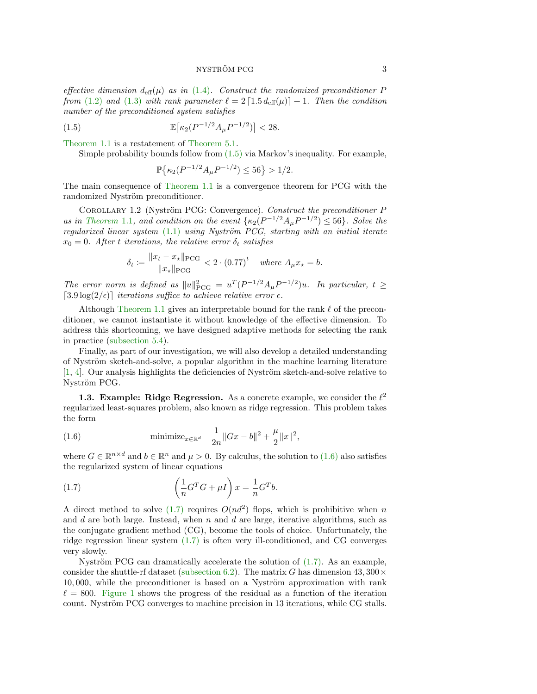effective dimension  $d_{\text{eff}}(\mu)$  as in [\(1.4\)](#page-1-1). Construct the randomized preconditioner P from [\(1.2\)](#page-1-2) and [\(1.3\)](#page-1-0) with rank parameter  $\ell = 2 \lceil 1.5 d_{\text{eff}}(\mu) \rceil + 1$ . Then the condition number of the preconditioned system satisfies

(1.5) 
$$
\mathbb{E}\big[\kappa_2(P^{-1/2}A_\mu P^{-1/2})\big] < 28.
$$

[Theorem 1.1](#page-1-3) is a restatement of [Theorem 5.1.](#page-11-0)

Simple probability bounds follow from [\(1.5\)](#page-2-0) via Markov's inequality. For example,

<span id="page-2-0"></span>
$$
\mathbb{P}\big\{\kappa_2(P^{-1/2}A_{\mu}P^{-1/2})\leq 56\big\}>1/2.
$$

The main consequence of [Theorem 1.1](#page-1-3) is a convergence theorem for PCG with the randomized Nyström preconditioner.

COROLLARY 1.2 (Nyström PCG: Convergence). Construct the preconditioner P as in [Theorem](#page-1-3) 1.1, and condition on the event  $\{\kappa_2(P^{-1/2}A_\mu P^{-1/2})\leq 56\}$ . Solve the regularized linear system  $(1.1)$  using Nyström PCG, starting with an initial iterate  $x_0 = 0$ . After t iterations, the relative error  $\delta_t$  satisfies

$$
\delta_t \coloneqq \frac{\|x_t - x_\star\|_{\text{PCG}}}{\|x_\star\|_{\text{PCG}}} < 2 \cdot (0.77)^t \quad \text{where } A_\mu x_\star = b.
$$

The error norm is defined as  $||u||_{\text{PCG}}^2 = u^T (P^{-1/2} A_\mu P^{-1/2}) u$ . In particular,  $t \ge$  $[3.9 \log(2/\epsilon)]$  iterations suffice to achieve relative error  $\epsilon$ .

Although [Theorem 1.1](#page-1-3) gives an interpretable bound for the rank  $\ell$  of the preconditioner, we cannot instantiate it without knowledge of the effective dimension. To address this shortcoming, we have designed adaptive methods for selecting the rank in practice [\(subsection 5.4\)](#page-13-0).

Finally, as part of our investigation, we will also develop a detailed understanding of Nyström sketch-and-solve, a popular algorithm in the machine learning literature  $[1, 4]$  $[1, 4]$  $[1, 4]$ . Our analysis highlights the deficiencies of Nyström sketch-and-solve relative to Nyström PCG.

<span id="page-2-3"></span>1.3. Example: Ridge Regression. As a concrete example, we consider the  $\ell^2$ regularized least-squares problem, also known as ridge regression. This problem takes the form

<span id="page-2-1"></span>(1.6) 
$$
\text{minimize}_{x \in \mathbb{R}^d} \quad \frac{1}{2n} \|Gx - b\|^2 + \frac{\mu}{2} \|x\|^2,
$$

where  $G \in \mathbb{R}^{n \times d}$  and  $b \in \mathbb{R}^n$  and  $\mu > 0$ . By calculus, the solution to  $(1.6)$  also satisfies the regularized system of linear equations

<span id="page-2-2"></span>(1.7) 
$$
\left(\frac{1}{n}G^{T}G + \mu I\right)x = \frac{1}{n}G^{T}b.
$$

A direct method to solve  $(1.7)$  requires  $O(nd^2)$  flops, which is prohibitive when n and d are both large. Instead, when  $n$  and  $d$  are large, iterative algorithms, such as the conjugate gradient method (CG), become the tools of choice. Unfortunately, the ridge regression linear system [\(1.7\)](#page-2-2) is often very ill-conditioned, and CG converges very slowly.

Nyström PCG can dramatically accelerate the solution of  $(1.7)$ . As an example, consider the shuttle-rf dataset [\(subsection 6.2\)](#page-15-0). The matrix G has dimension  $43,300\times$  $10,000$ , while the preconditioner is based on a Nyström approximation with rank  $\ell = 800$ . [Figure 1](#page-3-0) shows the progress of the residual as a function of the iteration count. Nyström PCG converges to machine precision in 13 iterations, while CG stalls.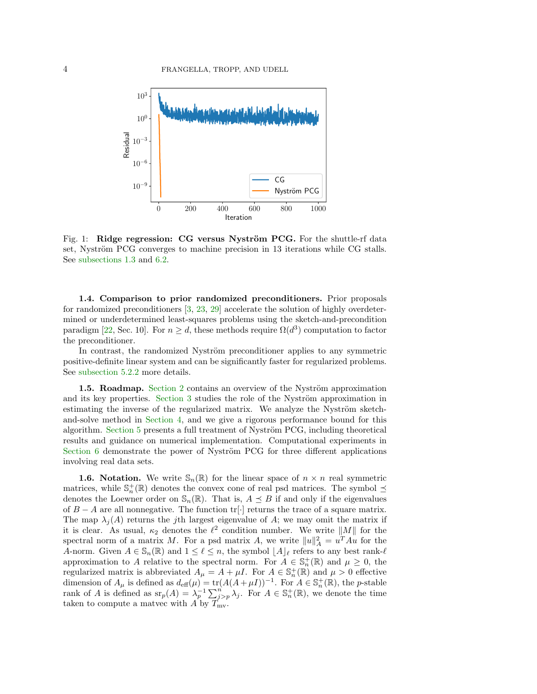<span id="page-3-0"></span>

Fig. 1: Ridge regression: CG versus Nyström PCG. For the shuttle-rf data set, Nyström PCG converges to machine precision in 13 iterations while CG stalls. See [subsections 1.3](#page-2-3) and [6.2.](#page-15-0)

1.4. Comparison to prior randomized preconditioners. Prior proposals for randomized preconditioners [\[3,](#page-22-3) [23,](#page-23-3) [29\]](#page-23-4) accelerate the solution of highly overdetermined or underdetermined least-squares problems using the sketch-and-precondition paradigm [\[22,](#page-23-0) Sec. 10]. For  $n \geq d$ , these methods require  $\Omega(d^3)$  computation to factor the preconditioner.

In contrast, the randomized Nyström preconditioner applies to any symmetric positive-definite linear system and can be significantly faster for regularized problems. See [subsection 5.2.2](#page-10-0) more details.

1.5. Roadmap. [Section 2](#page-4-1) contains an overview of the Nyström approximation and its key properties. [Section 3](#page-6-0) studies the role of the Nyström approximation in estimating the inverse of the regularized matrix. We analyze the Nyström sketchand-solve method in [Section 4,](#page-7-0) and we give a rigorous performance bound for this algorithm. Section  $5$  presents a full treatment of Nyström PCG, including theoretical results and guidance on numerical implementation. Computational experiments in Section  $6$  demonstrate the power of Nyström PCG for three different applications involving real data sets.

**1.6. Notation.** We write  $\mathbb{S}_n(\mathbb{R})$  for the linear space of  $n \times n$  real symmetric matrices, while  $\mathbb{S}_n^+(\mathbb{R})$  denotes the convex cone of real psd matrices. The symbol  $\preceq$ denotes the Loewner order on  $\mathbb{S}_n(\mathbb{R})$ . That is,  $A \preceq B$  if and only if the eigenvalues of  $B - A$  are all nonnegative. The function tr[·] returns the trace of a square matrix. The map  $\lambda_i(A)$  returns the jth largest eigenvalue of A; we may omit the matrix if it is clear. As usual,  $\kappa_2$  denotes the  $\ell^2$  condition number. We write  $||M||$  for the spectral norm of a matrix M. For a psd matrix A, we write  $||u||_A^2 = u^T A u$  for the A-norm. Given  $A \in \mathbb{S}_n(\mathbb{R})$  and  $1 \leq \ell \leq n$ , the symbol  $\lfloor A \rfloor_{\ell}$  refers to any best rank- $\ell$ approximation to A relative to the spectral norm. For  $A \in \mathbb{S}_n^+(\mathbb{R})$  and  $\mu \geq 0$ , the regularized matrix is abbreviated  $A_{\mu} = A + \mu I$ . For  $A \in \mathbb{S}_n^+(\mathbb{R})$  and  $\mu > 0$  effective dimension of  $A_\mu$  is defined as  $d_{\text{eff}}(\mu) = \text{tr}(A(A + \mu I))^{-1}$ . For  $A \in \mathbb{S}_n^+(\mathbb{R})$ , the *p*-stable rank of A is defined as  $\operatorname{sr}_p(A) = \lambda_p^{-1} \sum_{j>p}^n \lambda_j$ . For  $A \in \mathbb{S}_n^+(\mathbb{R})$ , we denote the time taken to compute a matvec with  $\overrightarrow{A}$  by  $\overrightarrow{T}_{mv}$ .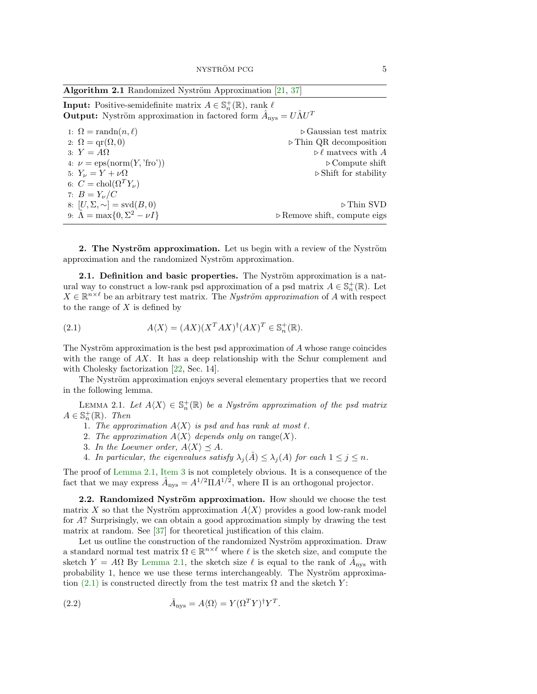<span id="page-4-0"></span>

| <b>Algorithm 2.1</b> Randomized Nyström Approximation $[21, 37]$ |  |  |
|------------------------------------------------------------------|--|--|
|------------------------------------------------------------------|--|--|

**Input:** Positive-semidefinite matrix  $A \in \mathbb{S}_n^+(\mathbb{R})$ , rank  $\ell$ **Output:** Nyström approximation in factored form  $\hat{A}_{\text{nys}} = U \hat{\Lambda} U^T$ 

| 1: $\Omega = \text{randn}(n, \ell)$                 | $\triangleright$ Gaussian test matrix       |
|-----------------------------------------------------|---------------------------------------------|
| 2: $\Omega = \text{qr}(\Omega, 0)$                  | $\triangleright$ Thin QR decomposition      |
| 3: $Y = A\Omega$                                    | $\triangleright \ell$ matrees with A        |
| 4: $\nu = \text{eps}(\text{norm}(Y, \text{'fro'}))$ | $\triangleright$ Compute shift              |
| 5: $Y_{\nu} = Y + \nu \Omega$                       | $\triangleright$ Shift for stability        |
| 6: $C = \text{chol}(\Omega^T Y_\nu)$                |                                             |
| 7: $B = Y_{\nu}/C$                                  |                                             |
| 8: $[U, \Sigma, \sim] = \text{svd}(B, 0)$           | $\triangleright$ Thin SVD                   |
| 9: $\hat{\Lambda} = \max\{0, \Sigma^2 - \nu I\}$    | $\triangleright$ Remove shift, compute eigs |

<span id="page-4-1"></span>**2.** The Nyström approximation. Let us begin with a review of the Nyström approximation and the randomized Nyström approximation.

2.1. Definition and basic properties. The Nyström approximation is a natural way to construct a low-rank psd approximation of a psd matrix  $A \in \mathbb{S}_n^+(\mathbb{R})$ . Let  $X \in \mathbb{R}^{n \times \ell}$  be an arbitrary test matrix. The *Nyström approximation* of A with respect to the range of  $X$  is defined by

<span id="page-4-4"></span>(2.1) 
$$
A\langle X\rangle = (AX)(X^TAX)^{\dagger}(AX)^T \in \mathbb{S}_n^+(\mathbb{R}).
$$

The Nyström approximation is the best psd approximation of  $A$  whose range coincides with the range of  $AX$ . It has a deep relationship with the Schur complement and with Cholesky factorization [\[22,](#page-23-0) Sec. 14].

The Nyström approximation enjoys several elementary properties that we record in the following lemma.

<span id="page-4-2"></span>LEMMA 2.1. Let  $A\langle X\rangle \in \mathbb{S}_n^+(\mathbb{R})$  be a Nyström approximation of the psd matrix  $A \in \mathbb{S}_n^+(\mathbb{R})$ . Then

- 1. The approximation  $A\langle X\rangle$  is psd and has rank at most  $\ell$ .
- 2. The approximation  $A\langle X\rangle$  depends only on range(X).
- <span id="page-4-3"></span>3. In the Loewner order,  $A\langle X\rangle \preceq A$ .
- 4. In particular, the eigenvalues satisfy  $\lambda_j(\hat{A}) \leq \lambda_j(A)$  for each  $1 \leq j \leq n$ .

<span id="page-4-6"></span>The proof of [Lemma 2.1,](#page-4-2) [Item 3](#page-4-3) is not completely obvious. It is a consequence of the fact that we may express  $\hat{A}_{\text{nys}} = A^{1/2} \Pi A^{1/2}$ , where  $\Pi$  is an orthogonal projector.

2.2. Randomized Nyström approximation. How should we choose the test matrix X so that the Nyström approximation  $A\langle X\rangle$  provides a good low-rank model for A? Surprisingly, we can obtain a good approximation simply by drawing the test matrix at random. See [\[37\]](#page-24-1) for theoretical justification of this claim.

Let us outline the construction of the randomized Nyström approximation. Draw a standard normal test matrix  $\Omega \in \mathbb{R}^{n \times \ell}$  where  $\ell$  is the sketch size, and compute the sketch  $Y = A\Omega$  By [Lemma 2.1,](#page-4-2) the sketch size  $\ell$  is equal to the rank of  $\hat{A}_{\text{nys}}$  with probability 1, hence we use these terms interchangeably. The Nyström approximation  $(2.1)$  is constructed directly from the test matrix  $\Omega$  and the sketch Y:

<span id="page-4-5"></span>(2.2) 
$$
\hat{A}_{\text{nys}} = A \langle \Omega \rangle = Y (\Omega^T Y)^{\dagger} Y^T.
$$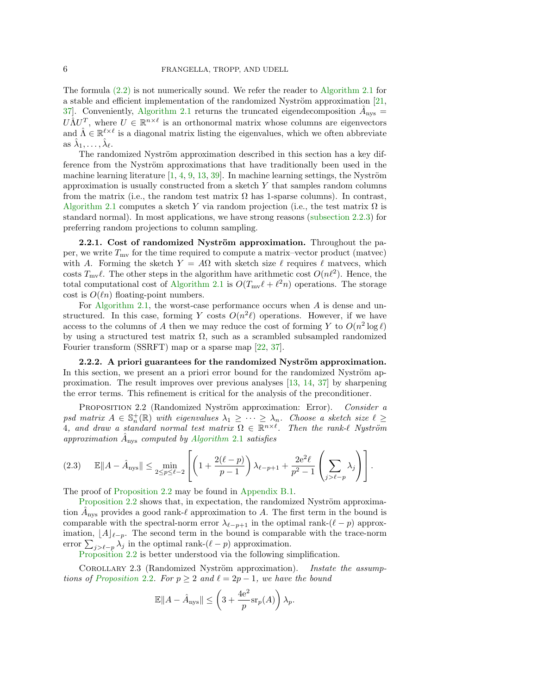The formula [\(2.2\)](#page-4-5) is not numerically sound. We refer the reader to [Algorithm 2.1](#page-4-0) for a stable and efficient implementation of the randomized Nyström approximation  $[21,$ 37. Conveniently, [Algorithm 2.1](#page-4-0) returns the truncated eigendecomposition  $\hat{A}_{\text{nys}} =$  $U\hat{\Lambda}U^T$ , where  $U \in \mathbb{R}^{n \times \ell}$  is an orthonormal matrix whose columns are eigenvectors and  $\hat{\Lambda} \in \mathbb{R}^{\ell \times \ell}$  is a diagonal matrix listing the eigenvalues, which we often abbreviate as  $\hat{\lambda}_1, \ldots, \hat{\lambda}_{\ell}$ .

The randomized Nyström approximation described in this section has a key difference from the Nyström approximations that have traditionally been used in the machine learning literature  $[1, 4, 9, 13, 39]$  $[1, 4, 9, 13, 39]$  $[1, 4, 9, 13, 39]$  $[1, 4, 9, 13, 39]$  $[1, 4, 9, 13, 39]$  $[1, 4, 9, 13, 39]$  $[1, 4, 9, 13, 39]$  $[1, 4, 9, 13, 39]$  $[1, 4, 9, 13, 39]$ . In machine learning settings, the Nyström approximation is usually constructed from a sketch  $Y$  that samples random columns from the matrix (i.e., the random test matrix  $\Omega$  has 1-sparse columns). In contrast, [Algorithm 2.1](#page-4-0) computes a sketch Y via random projection (i.e., the test matrix  $\Omega$  is standard normal). In most applications, we have strong reasons [\(subsection 2.2.3\)](#page-6-1) for preferring random projections to column sampling.

<span id="page-5-2"></span>2.2.1. Cost of randomized Nyström approximation. Throughout the paper, we write  $T_{\text{mv}}$  for the time required to compute a matrix–vector product (matvec) with A. Forming the sketch  $Y = A\Omega$  with sketch size  $\ell$  requires  $\ell$  matvecs, which costs  $T_{\text{mv}}\ell$ . The other steps in the algorithm have arithmetic cost  $O(n\ell^2)$ . Hence, the total computational cost of [Algorithm 2.1](#page-4-0) is  $O(T_{mv} \ell + \ell^2 n)$  operations. The storage cost is  $O(\ell n)$  floating-point numbers.

For [Algorithm 2.1,](#page-4-0) the worst-case performance occurs when  $A$  is dense and unstructured. In this case, forming Y costs  $O(n^2\ell)$  operations. However, if we have access to the columns of A then we may reduce the cost of forming Y to  $O(n^2 \log \ell)$ by using a structured test matrix  $\Omega$ , such as a scrambled subsampled randomized Fourier transform (SSRFT) map or a sparse map [\[22,](#page-23-0) [37\]](#page-24-1).

 $2.2.2.$  A priori guarantees for the randomized Nyström approximation. In this section, we present an a priori error bound for the randomized Nyström approximation. The result improves over previous analyses [\[13,](#page-23-7) [14,](#page-23-8) [37\]](#page-24-1) by sharpening the error terms. This refinement is critical for the analysis of the preconditioner.

PROPOSITION 2.2 (Randomized Nyström approximation: Error). Consider a psd matrix  $A \in \mathbb{S}_n^+(\mathbb{R})$  with eigenvalues  $\lambda_1 \geq \cdots \geq \lambda_n$ . Choose a sketch size  $\ell \geq$ 4, and draw a standard normal test matrix  $\Omega \in \mathbb{R}^{n \times \ell}$ . Then the rank- $\ell$  Nyström approximation  $\hat{A}_{\text{nys}}$  computed by [Algorithm](#page-4-0) 2.1 satisfies

<span id="page-5-3"></span>
$$
(2.3) \quad \mathbb{E}\|A - \hat{A}_{\text{nys}}\| \le \min_{2 \le p \le \ell-2} \left[ \left( 1 + \frac{2(\ell - p)}{p - 1} \right) \lambda_{\ell - p + 1} + \frac{2e^2 \ell}{p^2 - 1} \left( \sum_{j > \ell - p} \lambda_j \right) \right].
$$

The proof of [Proposition 2.2](#page-5-0) may be found in [Appendix B.1.](#page-30-0)

[Proposition 2.2](#page-5-0) shows that, in expectation, the randomized Nyström approximation  $\hat{A}_{\text{nys}}$  provides a good rank- $\ell$  approximation to A. The first term in the bound is comparable with the spectral-norm error  $\lambda_{\ell-p+1}$  in the optimal rank- $(\ell - p)$  approximation,  $\lfloor A \rfloor_{\ell-p}$ . The second term in the bound is comparable with the trace-norm error  $\sum_{j>\ell-p} \lambda_j$  in the optimal rank- $(\ell - p)$  approximation.

[Proposition 2.2](#page-5-0) is better understood via the following simplification.

<span id="page-5-1"></span>COROLLARY 2.3 (Randomized Nyström approximation). Instate the assump-tions of [Proposition](#page-5-0) 2.2. For  $p \geq 2$  and  $\ell = 2p - 1$ , we have the bound

<span id="page-5-0"></span>
$$
\mathbb{E} \|A - \hat{A}_{\text{nys}}\| \le \left(3 + \frac{4e^2}{p} \text{sr}_p(A)\right) \lambda_p.
$$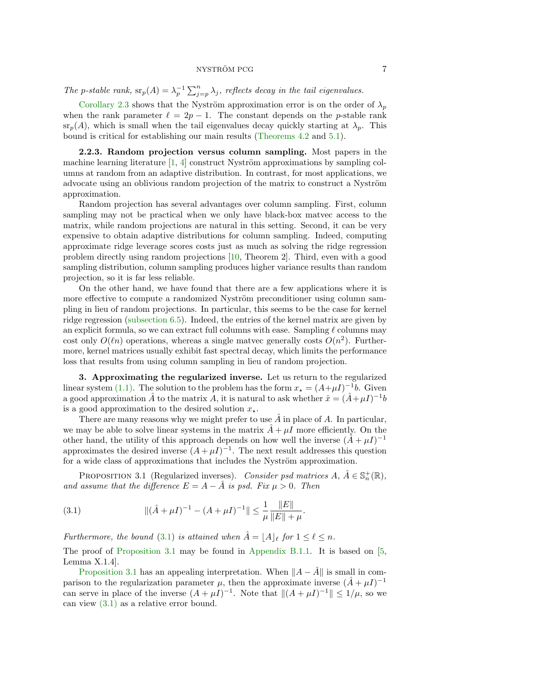The p-stable rank,  $\operatorname{sr}_p(A) = \lambda_p^{-1} \sum_{j=p}^n \lambda_j$ , reflects decay in the tail eigenvalues.

[Corollary 2.3](#page-5-1) shows that the Nyström approximation error is on the order of  $\lambda_p$ when the rank parameter  $\ell = 2p - 1$ . The constant depends on the p-stable rank  $\text{sr}_p(A)$ , which is small when the tail eigenvalues decay quickly starting at  $\lambda_p$ . This bound is critical for establishing our main results [\(Theorems 4.2](#page-7-1) and [5.1\)](#page-11-0).

<span id="page-6-1"></span>2.2.3. Random projection versus column sampling. Most papers in the machine learning literature  $[1, 4]$  $[1, 4]$  $[1, 4]$  construct Nyström approximations by sampling columns at random from an adaptive distribution. In contrast, for most applications, we advocate using an oblivious random projection of the matrix to construct a Nyström approximation.

Random projection has several advantages over column sampling. First, column sampling may not be practical when we only have black-box matvec access to the matrix, while random projections are natural in this setting. Second, it can be very expensive to obtain adaptive distributions for column sampling. Indeed, computing approximate ridge leverage scores costs just as much as solving the ridge regression problem directly using random projections [\[10,](#page-23-9) Theorem 2]. Third, even with a good sampling distribution, column sampling produces higher variance results than random projection, so it is far less reliable.

On the other hand, we have found that there are a few applications where it is more effective to compute a randomized Nyström preconditioner using column sampling in lieu of random projections. In particular, this seems to be the case for kernel ridge regression [\(subsection 6.5\)](#page-19-0). Indeed, the entries of the kernel matrix are given by an explicit formula, so we can extract full columns with ease. Sampling  $\ell$  columns may cost only  $O(\ln)$  operations, whereas a single matvec generally costs  $O(n^2)$ . Furthermore, kernel matrices usually exhibit fast spectral decay, which limits the performance loss that results from using column sampling in lieu of random projection.

<span id="page-6-0"></span>3. Approximating the regularized inverse. Let us return to the regularized linear system [\(1.1\).](#page-0-0) The solution to the problem has the form  $x_{\star} = (A + \mu I)^{-1}b$ . Given a good approximation  $\hat{A}$  to the matrix  $A$ , it is natural to ask whether  $\hat{x} = (\hat{A} + \mu I)^{-1}b$ is a good approximation to the desired solution  $x_{\star}$ .

There are many reasons why we might prefer to use  $\hat{A}$  in place of A. In particular, we may be able to solve linear systems in the matrix  $\hat{A} + \mu I$  more efficiently. On the other hand, the utility of this approach depends on how well the inverse  $(\hat{A} + \mu I)^{-1}$ approximates the desired inverse  $(A + \mu I)^{-1}$ . The next result addresses this question for a wide class of approximations that includes the Nyström approximation.

<span id="page-6-3"></span>PROPOSITION 3.1 (Regularized inverses). Consider psd matrices  $A, \ \hat{A} \in \mathbb{S}_n^+(\mathbb{R}),$ and assume that the difference  $E = A - \hat{A}$  is psd. Fix  $\mu > 0$ . Then

<span id="page-6-2"></span>(3.1) 
$$
\| (\hat{A} + \mu I)^{-1} - (A + \mu I)^{-1} \| \leq \frac{1}{\mu} \frac{\|E\|}{\|E\| + \mu}.
$$

Furthermore, the bound [\(3.1\)](#page-6-2) is attained when  $\hat{A} = |A|_p$  for  $1 \leq \ell \leq n$ .

The proof of [Proposition 3.1](#page-6-3) may be found in [Appendix B.1.1.](#page-30-1) It is based on [\[5,](#page-22-4) Lemma X.1.4].

[Proposition 3.1](#page-6-3) has an appealing interpretation. When  $||A - \hat{A}||$  is small in comparison to the regularization parameter  $\mu$ , then the approximate inverse  $(\hat{A} + \mu I)^{-1}$ can serve in place of the inverse  $(A + \mu I)^{-1}$ . Note that  $||(A + \mu I)^{-1}|| \le 1/\mu$ , so we can view [\(3.1\)](#page-6-2) as a relative error bound.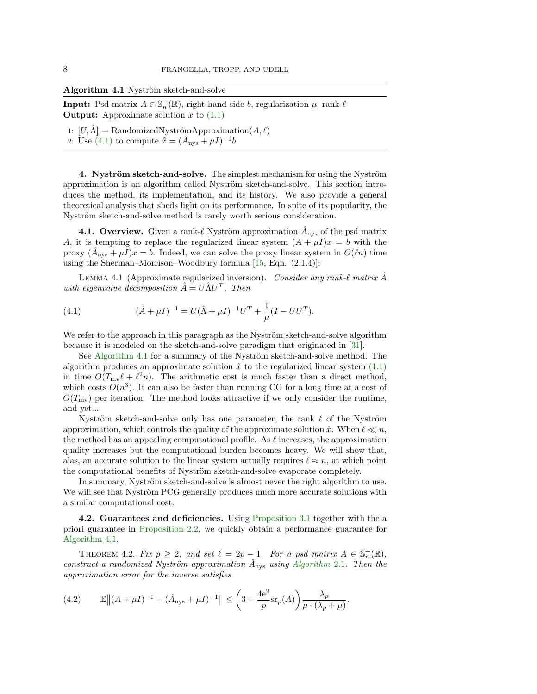<span id="page-7-0"></span>

| Algorithm 4.1 Nyström sketch-and-solve |  |  |  |
|----------------------------------------|--|--|--|
|----------------------------------------|--|--|--|

**Input:** Psd matrix  $A \in \mathbb{S}_n^+(\mathbb{R})$ , right-hand side b, regularization  $\mu$ , rank  $\ell$ **Output:** Approximate solution  $\hat{x}$  to  $(1.1)$ 

1:  $[U,\Lambda] = \text{RandomizedNyströmApproximation}(A,\ell)$ 2: Use [\(4.1\)](#page-7-2) to compute  $\hat{x} = (\hat{A}_{\text{nys}} + \mu I)^{-1}b$ 

4. Nyström sketch-and-solve. The simplest mechanism for using the Nyström approximation is an algorithm called Nyström sketch-and-solve. This section introduces the method, its implementation, and its history. We also provide a general theoretical analysis that sheds light on its performance. In spite of its popularity, the Nyström sketch-and-solve method is rarely worth serious consideration.

**4.1. Overview.** Given a rank- $\ell$  Nyström approximation  $\hat{A}_{\text{nys}}$  of the psd matrix A, it is tempting to replace the regularized linear system  $(A + \mu I)x = b$  with the proxy  $(\hat{A}_{\text{nys}} + \mu I)x = b$ . Indeed, we can solve the proxy linear system in  $O(\ell n)$  time using the Sherman–Morrison–Woodbury formula [\[15,](#page-23-10) Eqn. (2.1.4)]:

LEMMA 4.1 (Approximate regularized inversion). Consider any rank- $\ell$  matrix  $\hat{A}$ with eigenvalue decomposition  $\hat{A} = U \hat{\Lambda} U^{T}$ . Then

<span id="page-7-2"></span>(4.1) 
$$
(\hat{A} + \mu I)^{-1} = U(\hat{\Lambda} + \mu I)^{-1}U^{T} + \frac{1}{\mu}(I - UU^{T}).
$$

We refer to the approach in this paragraph as the Nyström sketch-and-solve algorithm because it is modeled on the sketch-and-solve paradigm that originated in [\[31\]](#page-23-11).

See [Algorithm 4.1](#page-7-0) for a summary of the Nyström sketch-and-solve method. The algorithm produces an approximate solution  $\hat{x}$  to the regularized linear system  $(1.1)$ in time  $O(T_{\text{mv}} \ell + \ell^2 n)$ . The arithmetic cost is much faster than a direct method, which costs  $O(n^3)$ . It can also be faster than running CG for a long time at a cost of  $O(T_{\text{mv}})$  per iteration. The method looks attractive if we only consider the runtime, and yet...

Nyström sketch-and-solve only has one parameter, the rank  $\ell$  of the Nyström approximation, which controls the quality of the approximate solution  $\hat{x}$ . When  $\ell \ll n$ , the method has an appealing computational profile. As  $\ell$  increases, the approximation quality increases but the computational burden becomes heavy. We will show that, alas, an accurate solution to the linear system actually requires  $\ell \approx n$ , at which point the computational benefits of Nyström sketch-and-solve evaporate completely.

In summary, Nyström sketch-and-solve is almost never the right algorithm to use. We will see that Nyström PCG generally produces much more accurate solutions with a similar computational cost.

<span id="page-7-3"></span>4.2. Guarantees and deficiencies. Using [Proposition 3.1](#page-6-3) together with the a priori guarantee in [Proposition 2.2,](#page-5-0) we quickly obtain a performance guarantee for [Algorithm 4.1.](#page-7-0)

<span id="page-7-1"></span>THEOREM 4.2. Fix  $p \geq 2$ , and set  $\ell = 2p - 1$ . For a psd matrix  $A \in \mathbb{S}_n^+(\mathbb{R})$ , construct a randomized Nyström approximation  $\hat{A}_{\text{nys}}$  using [Algorithm](#page-4-0) 2.1. Then the approximation error for the inverse satisfies

<span id="page-7-4"></span>(4.2) 
$$
\mathbb{E}||(A + \mu I)^{-1} - (\hat{A}_{\text{nys}} + \mu I)^{-1}|| \leq \left(3 + \frac{4e^2}{p} \text{sr}_p(A)\right) \frac{\lambda_p}{\mu \cdot (\lambda_p + \mu)}.
$$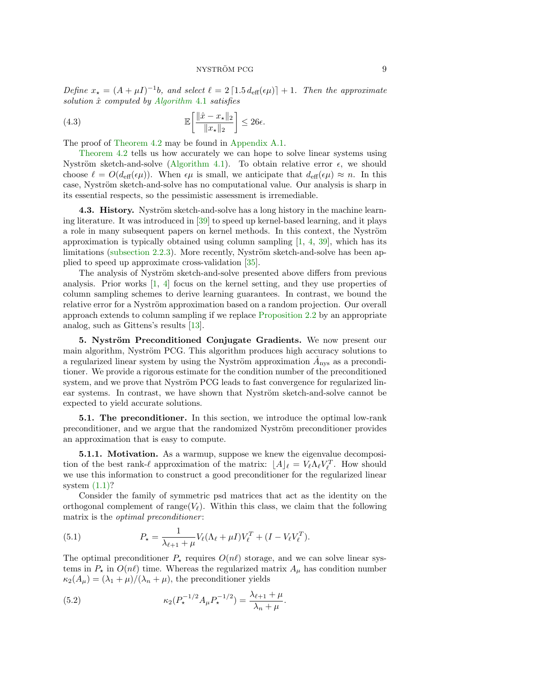Define  $x_{\star} = (A + \mu I)^{-1}b$ , and select  $\ell = 2 \left[ 1.5 d_{\text{eff}}(\epsilon \mu) \right] + 1$ . Then the approximate solution  $\hat{x}$  computed by [Algorithm](#page-7-0) 4.1 satisfies

<span id="page-8-2"></span>(4.3) 
$$
\mathbb{E}\left[\frac{\|\hat{x} - x_{\star}\|_2}{\|x_{\star}\|_2}\right] \le 26\epsilon.
$$

The proof of [Theorem 4.2](#page-7-1) may be found in [Appendix A.1.](#page-24-3)

[Theorem 4.2](#page-7-1) tells us how accurately we can hope to solve linear systems using Nyström sketch-and-solve [\(Algorithm 4.1\)](#page-7-0). To obtain relative error  $\epsilon$ , we should choose  $\ell = O(d_{\text{eff}}(\epsilon \mu))$ . When  $\epsilon \mu$  is small, we anticipate that  $d_{\text{eff}}(\epsilon \mu) \approx n$ . In this case, Nyström sketch-and-solve has no computational value. Our analysis is sharp in its essential respects, so the pessimistic assessment is irremediable.

4.3. History. Nyström sketch-and-solve has a long history in the machine learning literature. It was introduced in [\[39\]](#page-24-2) to speed up kernel-based learning, and it plays a role in many subsequent papers on kernel methods. In this context, the Nyström approximation is typically obtained using column sampling  $[1, 4, 39]$  $[1, 4, 39]$  $[1, 4, 39]$  $[1, 4, 39]$  $[1, 4, 39]$ , which has its limitations [\(subsection 2.2.3\)](#page-6-1). More recently, Nyström sketch-and-solve has been applied to speed up approximate cross-validation [\[35\]](#page-24-4).

The analysis of Nyström sketch-and-solve presented above differs from previous analysis. Prior works  $\begin{bmatrix}1, 4\end{bmatrix}$  focus on the kernel setting, and they use properties of column sampling schemes to derive learning guarantees. In contrast, we bound the relative error for a Nyström approximation based on a random projection. Our overall approach extends to column sampling if we replace [Proposition 2.2](#page-5-0) by an appropriate analog, such as Gittens's results [\[13\]](#page-23-7).

<span id="page-8-0"></span>5. Nyström Preconditioned Conjugate Gradients. We now present our main algorithm, Nyström PCG. This algorithm produces high accuracy solutions to a regularized linear system by using the Nyström approximation  $\hat{A}_{\text{nys}}$  as a preconditioner. We provide a rigorous estimate for the condition number of the preconditioned system, and we prove that Nyström PCG leads to fast convergence for regularized linear systems. In contrast, we have shown that Nyström sketch-and-solve cannot be expected to yield accurate solutions.

5.1. The preconditioner. In this section, we introduce the optimal low-rank preconditioner, and we argue that the randomized Nyström preconditioner provides an approximation that is easy to compute.

**5.1.1. Motivation.** As a warmup, suppose we knew the eigenvalue decomposition of the best rank- $\ell$  approximation of the matrix:  $[A]_\ell = V_\ell \Lambda_\ell V_\ell^T$ . How should we use this information to construct a good preconditioner for the regularized linear system  $(1.1)$ ?

Consider the family of symmetric psd matrices that act as the identity on the orthogonal complement of range( $V_{\ell}$ ). Within this class, we claim that the following matrix is the *optimal preconditioner*:

(5.1) 
$$
P_{\star} = \frac{1}{\lambda_{\ell+1} + \mu} V_{\ell} (\Lambda_{\ell} + \mu I) V_{\ell}^{T} + (I - V_{\ell} V_{\ell}^{T}).
$$

The optimal preconditioner  $P_{\star}$  requires  $O(n\ell)$  storage, and we can solve linear systems in  $P_{\star}$  in  $O(n\ell)$  time. Whereas the regularized matrix  $A_{\mu}$  has condition number  $\kappa_2(A_\mu) = (\lambda_1 + \mu)/(\lambda_n + \mu)$ , the preconditioner yields

<span id="page-8-1"></span>(5.2) 
$$
\kappa_2(P_{\star}^{-1/2}A_{\mu}P_{\star}^{-1/2}) = \frac{\lambda_{\ell+1} + \mu}{\lambda_n + \mu}.
$$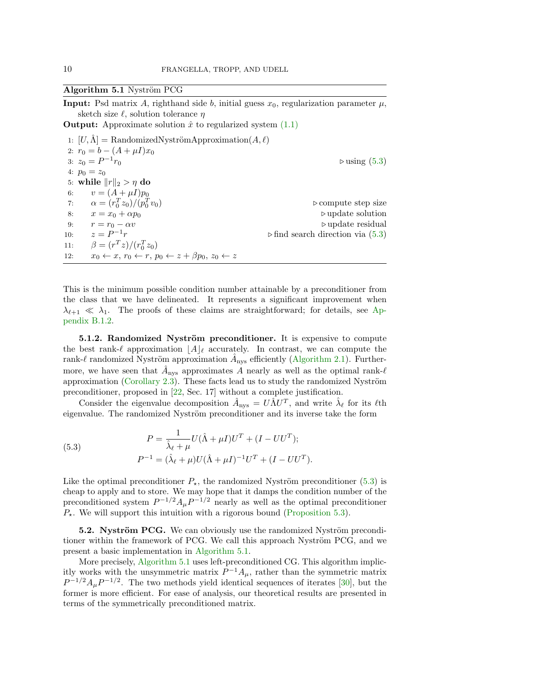### <span id="page-9-0"></span>Algorithm 5.1 Nyström PCG

**Input:** Psd matrix A, righthand side b, initial guess  $x_0$ , regularization parameter  $\mu$ , sketch size  $\ell$ , solution tolerance  $\eta$ 

**Output:** Approximate solution  $\hat{x}$  to regularized system  $(1.1)$ 

1:  $[U, \Lambda] = \text{RandomizedNyströmApproximation}(A, \ell)$ 2:  $r_0 = b - (A + \mu I)x_0$ 3:  $z_0 = P^{-1}$  $\triangleright$  using [\(5.3\)](#page-9-1) 4:  $p_0 = z_0$ 5: while  $||r||_2 > \eta$  do<br>6:  $v = (A + \mu I)p_0$  $v = (A + \mu I)p_0$ 7:  $\alpha = (r_0^T z_0)/(p_0^T)$  $\triangleright$  compute step size 8:  $x = x_0 + \alpha p_0$  . Dupdate solution 9:  $r = r_0 - \alpha v$  .  $\triangleright$  update residual  $z = P^{-1}r$  .  $\triangleright$  find search direction via (5.3) 10:  $z = P^{-1}$  $\triangleright$  find search direction via [\(5.3\)](#page-9-1) 11:  $\beta = (r^T z)/(r_0^T z_0)$ 12:  $x_0 \leftarrow x, r_0 \leftarrow r, p_0 \leftarrow z + \beta p_0, z_0 \leftarrow z$ 

This is the minimum possible condition number attainable by a preconditioner from the class that we have delineated. It represents a significant improvement when  $\lambda_{\ell+1} \ll \lambda_1$ . The proofs of these claims are straightforward; for details, see [Ap](#page-31-0)[pendix B.1.2.](#page-31-0)

5.1.2. Randomized Nyström preconditioner. It is expensive to compute the best rank- $\ell$  approximation  $|A|_{\ell}$  accurately. In contrast, we can compute the rank- $\ell$  randomized Nyström approximation  $\hat{A}_{\text{nys}}$  efficiently [\(Algorithm 2.1\)](#page-4-0). Furthermore, we have seen that  $\hat{A}_{\text{nys}}$  approximates A nearly as well as the optimal rank- $\ell$ approximation (Corollary  $2.3$ ). These facts lead us to study the randomized Nyström preconditioner, proposed in [\[22,](#page-23-0) Sec. 17] without a complete justification.

Consider the eigenvalue decomposition  $\hat{A}_{\text{nys}} = U \hat{\Lambda} U^T$ , and write  $\hat{\lambda}_{\ell}$  for its  $\ell$ th eigenvalue. The randomized Nyström preconditioner and its inverse take the form

<span id="page-9-1"></span>(5.3) 
$$
P = \frac{1}{\hat{\lambda}_{\ell} + \mu} U(\hat{\Lambda} + \mu I)U^{T} + (I - UU^{T});
$$

$$
P^{-1} = (\hat{\lambda}_{\ell} + \mu)U(\hat{\Lambda} + \mu I)^{-1}U^{T} + (I - UU^{T}).
$$

Like the optimal preconditioner  $P_{\star}$ , the randomized Nyström preconditioner [\(5.3\)](#page-9-1) is cheap to apply and to store. We may hope that it damps the condition number of the preconditioned system  $P^{-1/2} A_{\mu} P^{-1/2}$  nearly as well as the optimal preconditioner  $P_{\star}$ . We will support this intuition with a rigorous bound [\(Proposition 5.3\)](#page-12-0).

5.2. Nyström PCG. We can obviously use the randomized Nyström preconditioner within the framework of PCG. We call this approach Nyström PCG, and we present a basic implementation in [Algorithm 5.1.](#page-9-0)

More precisely, [Algorithm 5.1](#page-9-0) uses left-preconditioned CG. This algorithm implicitly works with the unsymmetric matrix  $P^{-1}A_\mu$ , rather than the symmetric matrix  $P^{-1/2}A_{\mu}P^{-1/2}$ . The two methods yield identical sequences of iterates [\[30\]](#page-23-12), but the former is more efficient. For ease of analysis, our theoretical results are presented in terms of the symmetrically preconditioned matrix.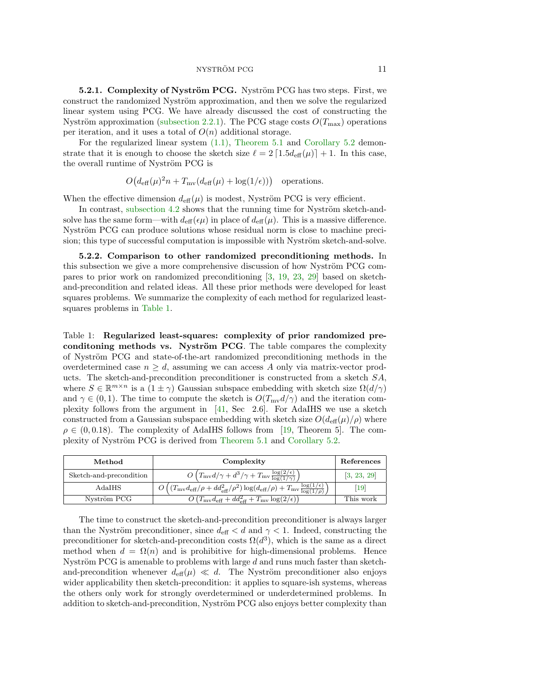NYSTRÖM PCG 11

5.2.1. Complexity of Nyström PCG. Nyström PCG has two steps. First, we construct the randomized Nyström approximation, and then we solve the regularized linear system using PCG. We have already discussed the cost of constructing the Nyström approximation [\(subsection 2.2.1\)](#page-5-2). The PCG stage costs  $O(T_{\text{max}})$  operations per iteration, and it uses a total of  $O(n)$  additional storage.

For the regularized linear system [\(1.1\),](#page-0-0) [Theorem 5.1](#page-11-0) and [Corollary 5.2](#page-11-1) demonstrate that it is enough to choose the sketch size  $\ell = 2 \lceil 1.5d_{\text{eff}}(\mu) \rceil + 1$ . In this case, the overall runtime of Nyström PCG is

 $O(d_{\text{eff}}(\mu)^2 n + T_{\text{mv}}(d_{\text{eff}}(\mu) + \log(1/\epsilon)))$  operations.

When the effective dimension  $d_{\text{eff}}(\mu)$  is modest, Nyström PCG is very efficient.

In contrast, [subsection 4.2](#page-7-3) shows that the running time for Nyström sketch-andsolve has the same form—with  $d_{\text{eff}}(\epsilon\mu)$  in place of  $d_{\text{eff}}(\mu)$ . This is a massive difference. Nyström PCG can produce solutions whose residual norm is close to machine precision; this type of successful computation is impossible with Nyström sketch-and-solve.

<span id="page-10-0"></span>5.2.2. Comparison to other randomized preconditioning methods. In this subsection we give a more comprehensive discussion of how Nyström PCG compares to prior work on randomized preconditioning [\[3,](#page-22-3) [19,](#page-23-2) [23,](#page-23-3) [29\]](#page-23-4) based on sketchand-precondition and related ideas. All these prior methods were developed for least squares problems. We summarize the complexity of each method for regularized leastsquares problems in [Table 1.](#page-10-1)

<span id="page-10-1"></span>Table 1: Regularized least-squares: complexity of prior randomized preconditioning methods vs. Nyström PCG. The table compares the complexity of Nyström PCG and state-of-the-art randomized preconditioning methods in the overdetermined case  $n > d$ , assuming we can access A only via matrix-vector products. The sketch-and-precondition preconditioner is constructed from a sketch SA, where  $S \in \mathbb{R}^{m \times n}$  is a  $(1 \pm \gamma)$  Gaussian subspace embedding with sketch size  $\Omega(d/\gamma)$ and  $\gamma \in (0, 1)$ . The time to compute the sketch is  $O(T_{\text{mv}}d/\gamma)$  and the iteration complexity follows from the argument in [\[41,](#page-24-5) Sec 2.6]. For AdaIHS we use a sketch constructed from a Gaussian subspace embedding with sketch size  $O(d_{\text{eff}}(\mu)/\rho)$  where  $\rho \in (0, 0.18)$ . The complexity of AdaIHS follows from [\[19,](#page-23-2) Theorem 5]. The com-plexity of Nyström PCG is derived from [Theorem 5.1](#page-11-0) and [Corollary 5.2.](#page-11-1)

| Method                  | Complexity                                                                                                                                   | References  |
|-------------------------|----------------------------------------------------------------------------------------------------------------------------------------------|-------------|
| Sketch-and-precondition | $O(T_{\rm mv}d/\gamma + d^3/\gamma + T_{\rm mv}\frac{\log(2/\epsilon)}{\log(1/\gamma)})$                                                     | [3, 23, 29] |
| AdaIHS                  | $O\left((T_{\rm mv}d_{\rm eff}/\rho + dd_{\rm eff}^2/\rho^2)\log(d_{\rm eff}/\rho) + T_{\rm mv}\frac{\log(1/\epsilon)}{\log(1/\rho)}\right)$ | 19          |
| Nyström PCG             | $O(T_{\text{mv}}d_{\text{eff}}+dd_{\text{eff}}^2+T_{\text{mv}}\log(2/\epsilon))$                                                             | This work   |

The time to construct the sketch-and-precondition preconditioner is always larger than the Nyström preconditioner, since  $d_{\text{eff}} < d$  and  $\gamma < 1$ . Indeed, constructing the preconditioner for sketch-and-precondition costs  $\Omega(d^3)$ , which is the same as a direct method when  $d = \Omega(n)$  and is prohibitive for high-dimensional problems. Hence Nyström PCG is amenable to problems with large  $d$  and runs much faster than sketchand-precondition whenever  $d_{\text{eff}}(\mu) \ll d$ . The Nyström preconditioner also enjoys wider applicability then sketch-precondition: it applies to square-ish systems, whereas the others only work for strongly overdetermined or underdetermined problems. In addition to sketch-and-precondition, Nyström PCG also enjoys better complexity than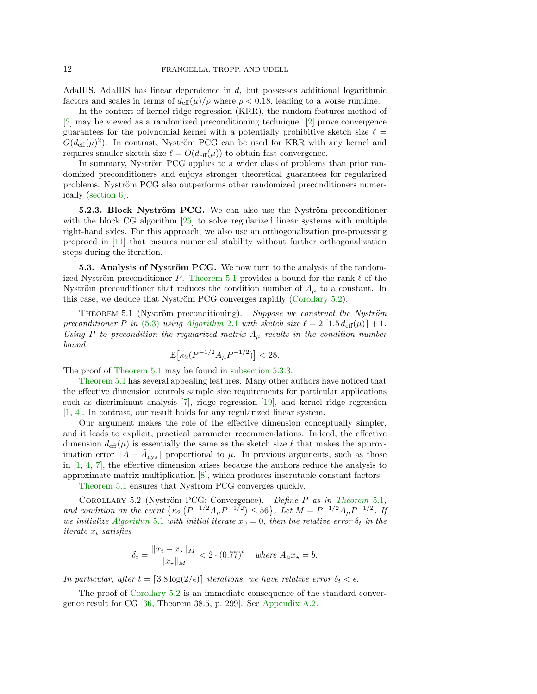AdaIHS. AdaIHS has linear dependence in d, but possesses additional logarithmic factors and scales in terms of  $d_{\text{eff}}(\mu)/\rho$  where  $\rho < 0.18$ , leading to a worse runtime.

In the context of kernel ridge regression (KRR), the random features method of [\[2\]](#page-22-1) may be viewed as a randomized preconditioning technique. [\[2\]](#page-22-1) prove convergence guarantees for the polynomial kernel with a potentially prohibitive sketch size  $\ell =$  $O(d_{\text{eff}}(\mu)^2)$ . In contrast, Nyström PCG can be used for KRR with any kernel and requires smaller sketch size  $\ell = O(d_{\text{eff}}(\mu))$  to obtain fast convergence.

In summary, Nyström PCG applies to a wider class of problems than prior randomized preconditioners and enjoys stronger theoretical guarantees for regularized problems. Nyström PCG also outperforms other randomized preconditioners numerically [\(section 6\)](#page-15-1).

5.2.3. Block Nyström PCG. We can also use the Nyström preconditioner with the block CG algorithm [\[25\]](#page-23-13) to solve regularized linear systems with multiple right-hand sides. For this approach, we also use an orthogonalization pre-processing proposed in [\[11\]](#page-23-14) that ensures numerical stability without further orthogonalization steps during the iteration.

**5.3. Analysis of Nyström PCG.** We now turn to the analysis of the random-ized Nyström preconditioner P. [Theorem 5.1](#page-11-0) provides a bound for the rank  $\ell$  of the Nyström preconditioner that reduces the condition number of  $A_\mu$  to a constant. In this case, we deduce that Nyström PCG converges rapidly [\(Corollary 5.2\)](#page-11-1).

<span id="page-11-0"></span>THEOREM 5.1 (Nyström preconditioning). Suppose we construct the Nyström preconditioner P in [\(5.3\)](#page-9-1) using [Algorithm](#page-4-0) 2.1 with sketch size  $\ell = 2 \lceil 1.5 d_{\text{eff}}(\mu) \rceil + 1$ . Using P to precondition the regularized matrix  $A_\mu$  results in the condition number bound

$$
\mathbb{E}\left[\kappa_2(P^{-1/2}A_{\mu}P^{-1/2})\right] < 28.
$$

The proof of [Theorem 5.1](#page-11-0) may be found in [subsection 5.3.3.](#page-13-1)

[Theorem 5.1](#page-11-0) has several appealing features. Many other authors have noticed that the effective dimension controls sample size requirements for particular applications such as discriminant analysis [\[7\]](#page-23-1), ridge regression [\[19\]](#page-23-2), and kernel ridge regression [\[1,](#page-22-0) [4\]](#page-22-2). In contrast, our result holds for any regularized linear system.

Our argument makes the role of the effective dimension conceptually simpler, and it leads to explicit, practical parameter recommendations. Indeed, the effective dimension  $d_{\text{eff}}(\mu)$  is essentially the same as the sketch size  $\ell$  that makes the approximation error  $||A - \hat{A}_{\text{nys}}||$  proportional to  $\mu$ . In previous arguments, such as those in [\[1,](#page-22-0) [4,](#page-22-2) [7\]](#page-23-1), the effective dimension arises because the authors reduce the analysis to approximate matrix multiplication [\[8\]](#page-23-15), which produces inscrutable constant factors.

[Theorem 5.1](#page-11-0) ensures that Nyström PCG converges quickly.

COROLLARY 5.2 (Nyström PCG: Convergence). Define P as in [Theorem](#page-11-0) 5.1, and condition on the event  $\{\kappa_2 (P^{-1/2}A_{\mu}P^{-1/2}) \le 56\}$ . Let  $M = P^{-1/2}A_{\mu}P^{-1/2}$ . If we initialize [Algorithm](#page-9-0) 5.1 with initial iterate  $x_0 = 0$ , then the relative error  $\delta_t$  in the iterate  $x_t$  satisfies

<span id="page-11-1"></span>
$$
\delta_t = \frac{\|x_t - x_\star\|_M}{\|x_\star\|_M} < 2 \cdot (0.77)^t \quad \text{where } A_\mu x_\star = b.
$$

In particular, after  $t = [3.8 \log(2/\epsilon)]$  iterations, we have relative error  $\delta_t < \epsilon$ .

The proof of [Corollary 5.2](#page-11-1) is an immediate consequence of the standard convergence result for CG [\[36,](#page-24-0) Theorem 38.5, p. 299]. See [Appendix A.2.](#page-27-0)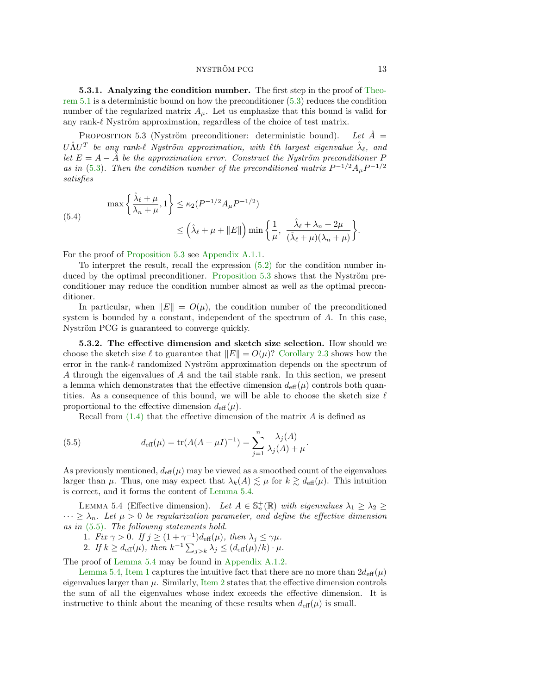#### NYSTRÖM PCG 13

5.3.1. Analyzing the condition number. The first step in the proof of [Theo](#page-11-0)[rem 5.1](#page-11-0) is a deterministic bound on how the preconditioner [\(5.3\)](#page-9-1) reduces the condition number of the regularized matrix  $A_\mu$ . Let us emphasize that this bound is valid for any rank- $\ell$  Nyström approximation, regardless of the choice of test matrix.

<span id="page-12-0"></span>PROPOSITION 5.3 (Nyström preconditioner: deterministic bound). Let  $\hat{A} =$  $U\hat{\Lambda}U^{T}$  be any rank- $\ell$  Nyström approximation, with  $\ell$ th largest eigenvalue  $\hat{\lambda}_{\ell}$ , and let  $E = A - \hat{A}$  be the approximation error. Construct the Nyström preconditioner P as in [\(5.3\)](#page-9-1). Then the condition number of the preconditioned matrix  $P^{-1/2}A_{\mu}P^{-1/2}$ satisfies

(5.4)  

$$
\max\left\{\frac{\hat{\lambda}_{\ell} + \mu}{\lambda_n + \mu}, 1\right\} \le \kappa_2 (P^{-1/2} A_{\mu} P^{-1/2})
$$

$$
\le \left(\hat{\lambda}_{\ell} + \mu + \|E\|\right) \min\left\{\frac{1}{\mu}, \frac{\hat{\lambda}_{\ell} + \lambda_n + 2\mu}{(\hat{\lambda}_{\ell} + \mu)(\lambda_n + \mu)}\right\}.
$$

For the proof of [Proposition 5.3](#page-12-0) see [Appendix A.1.1.](#page-25-0)

To interpret the result, recall the expression [\(5.2\)](#page-8-1) for the condition number in-duced by the optimal preconditioner. [Proposition 5.3](#page-12-0) shows that the Nyström preconditioner may reduce the condition number almost as well as the optimal preconditioner.

In particular, when  $||E|| = O(\mu)$ , the condition number of the preconditioned system is bounded by a constant, independent of the spectrum of A. In this case, Nyström PCG is guaranteed to converge quickly.

5.3.2. The effective dimension and sketch size selection. How should we choose the sketch size  $\ell$  to guarantee that  $||E|| = O(\mu)$ ? [Corollary 2.3](#page-5-1) shows how the error in the rank- $\ell$  randomized Nyström approximation depends on the spectrum of A through the eigenvalues of A and the tail stable rank. In this section, we present a lemma which demonstrates that the effective dimension  $d_{\text{eff}}(\mu)$  controls both quantities. As a consequence of this bound, we will be able to choose the sketch size  $\ell$ proportional to the effective dimension  $d_{\text{eff}}(\mu)$ .

<span id="page-12-2"></span>Recall from  $(1.4)$  that the effective dimension of the matrix  $A$  is defined as

(5.5) 
$$
d_{\text{eff}}(\mu) = \text{tr}(A(A + \mu I)^{-1}) = \sum_{j=1}^{n} \frac{\lambda_j(A)}{\lambda_j(A) + \mu}.
$$

As previously mentioned,  $d_{\text{eff}}(\mu)$  may be viewed as a smoothed count of the eigenvalues larger than  $\mu$ . Thus, one may expect that  $\lambda_k(A) \lesssim \mu$  for  $k \gtrsim d_{\text{eff}}(\mu)$ . This intuition is correct, and it forms the content of [Lemma 5.4.](#page-12-1)

<span id="page-12-1"></span>LEMMA 5.4 (Effective dimension). Let  $A \in \mathbb{S}_n^+(\mathbb{R})$  with eigenvalues  $\lambda_1 \geq \lambda_2 \geq$  $\cdots \geq \lambda_n$ . Let  $\mu > 0$  be regularization parameter, and define the effective dimension as in [\(5.5\)](#page-12-2). The following statements hold.

- 1. Fix  $\gamma > 0$ . If  $j \geq (1 + \gamma^{-1})d_{\text{eff}}(\mu)$ , then  $\lambda_j \leq \gamma \mu$ .
- <span id="page-12-4"></span><span id="page-12-3"></span>2. If  $k \geq d_{\text{eff}}(\mu)$ , then  $k^{-1} \sum_{j>k} \lambda_j \leq (d_{\text{eff}}(\mu)/k) \cdot \mu$ .

The proof of [Lemma 5.4](#page-12-1) may be found in [Appendix A.1.2.](#page-27-1)

[Lemma 5.4,](#page-12-1) [Item 1](#page-12-3) captures the intuitive fact that there are no more than  $2d_{\text{eff}}(\mu)$ eigenvalues larger than  $\mu$ . Similarly, [Item 2](#page-12-4) states that the effective dimension controls the sum of all the eigenvalues whose index exceeds the effective dimension. It is instructive to think about the meaning of these results when  $d_{\text{eff}}(\mu)$  is small.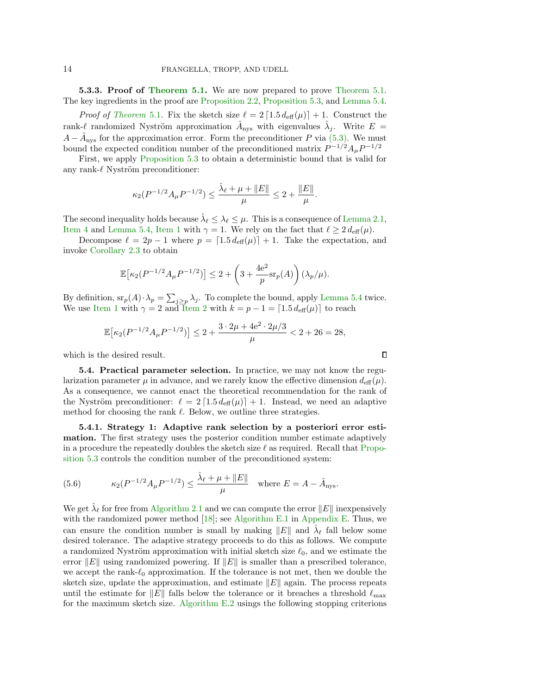<span id="page-13-1"></span>**5.3.3. Proof of [Theorem 5.1.](#page-11-0)** We are now prepared to prove Theorem 5.1. The key ingredients in the proof are [Proposition 2.2,](#page-5-0) [Proposition 5.3,](#page-12-0) and [Lemma 5.4.](#page-12-1)

*Proof of [Theorem](#page-11-0)* 5.1. Fix the sketch size  $\ell = 2 \left[ 1.5 d_{\text{eff}}(\mu) \right] + 1$ . Construct the rank- $\ell$  randomized Nyström approximation  $\hat{A}_{\text{nys}}$  with eigenvalues  $\hat{\lambda}_j$ . Write  $E =$  $A - \hat{A}_{\text{nys}}$  for the approximation error. Form the preconditioner P via [\(5.3\).](#page-9-1) We must bound the expected condition number of the preconditioned matrix  $P^{-1/2} A_{\mu} P^{-1/2}$ 

First, we apply [Proposition 5.3](#page-12-0) to obtain a deterministic bound that is valid for any rank- $\ell$  Nyström preconditioner:

$$
\kappa_2(P^{-1/2}A_{\mu}P^{-1/2}) \leq \frac{\hat{\lambda}_{\ell} + \mu + \|E\|}{\mu} \leq 2 + \frac{\|E\|}{\mu}.
$$

The second inequality holds because  $\hat{\lambda}_{\ell} \leq \lambda_{\ell} \leq \mu$ . This is a consequence of [Lemma 2.1,](#page-4-2) [Item 4](#page-4-6) and [Lemma 5.4,](#page-12-1) [Item 1](#page-12-3) with  $\gamma = 1$ . We rely on the fact that  $\ell \geq 2 d_{\text{eff}}(\mu)$ .

Decompose  $\ell = 2p - 1$  where  $p = \lceil 1.5 d_{\text{eff}}(\mu) \rceil + 1$ . Take the expectation, and invoke [Corollary 2.3](#page-5-1) to obtain

$$
\mathbb{E}\left[\kappa_2(P^{-1/2}A_{\mu}P^{-1/2})\right] \leq 2 + \left(3 + \frac{4e^2}{p} \text{sr}_p(A)\right)(\lambda_p/\mu).
$$

By definition,  $\operatorname{sr}_p(A) \cdot \lambda_p = \sum_{j \geq p} \lambda_j$ . To complete the bound, apply [Lemma 5.4](#page-12-1) twice. We use [Item 1](#page-12-3) with  $\gamma = 2$  and [Item 2](#page-12-4) with  $k = p - 1 = \lceil 1.5 d_{\text{eff}}(\mu) \rceil$  to reach

$$
\mathbb{E}\big[\kappa_2(P^{-1/2}A_{\mu}P^{-1/2})\big] \leq 2 + \frac{3 \cdot 2\mu + 4e^2 \cdot 2\mu/3}{\mu} < 2 + 26 = 28,
$$

which is the desired result.

<span id="page-13-0"></span>5.4. Practical parameter selection. In practice, we may not know the regularization parameter  $\mu$  in advance, and we rarely know the effective dimension  $d_{\text{eff}}(\mu)$ . As a consequence, we cannot enact the theoretical recommendation for the rank of the Nyström preconditioner:  $\ell = 2 \lceil 1.5 d_{\text{eff}}(\mu) \rceil + 1$ . Instead, we need an adaptive method for choosing the rank  $\ell$ . Below, we outline three strategies.

<span id="page-13-2"></span>5.4.1. Strategy 1: Adaptive rank selection by a posteriori error estimation. The first strategy uses the posterior condition number estimate adaptively in a procedure the repeatedly doubles the sketch size  $\ell$  as required. Recall that [Propo](#page-12-0)[sition 5.3](#page-12-0) controls the condition number of the preconditioned system:

(5.6) 
$$
\kappa_2(P^{-1/2}A_{\mu}P^{-1/2}) \le \frac{\hat{\lambda}_{\ell} + \mu + ||E||}{\mu} \text{ where } E = A - \hat{A}_{\text{nys}}.
$$

We get  $\hat{\lambda}_{\ell}$  for free from [Algorithm 2.1](#page-4-0) and we can compute the error  $||E||$  inexpensively with the randomized power method [\[18\]](#page-23-16); see [Algorithm E.1](#page-35-0) in [Appendix E.](#page-35-1) Thus, we can ensure the condition number is small by making  $||E||$  and  $\hat{\lambda}_{\ell}$  fall below some desired tolerance. The adaptive strategy proceeds to do this as follows. We compute a randomized Nyström approximation with initial sketch size  $\ell_0$ , and we estimate the error  $||E||$  using randomized powering. If  $||E||$  is smaller than a prescribed tolerance, we accept the rank- $\ell_0$  approximation. If the tolerance is not met, then we double the sketch size, update the approximation, and estimate  $||E||$  again. The process repeats until the estimate for  $||E||$  falls below the tolerance or it breaches a threshold  $\ell_{\text{max}}$ for the maximum sketch size. [Algorithm E.2](#page-36-0) usings the following stopping criterions

 $\Box$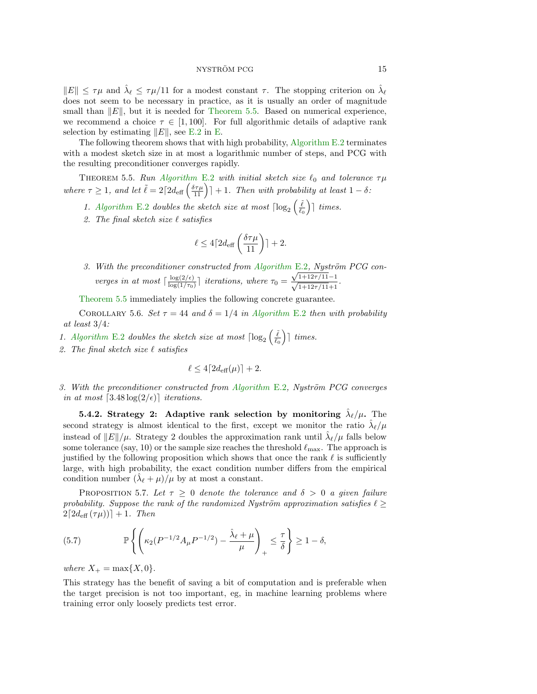$||E|| \leq \tau \mu$  and  $\hat{\lambda}_{\ell} \leq \tau \mu/11$  for a modest constant  $\tau$ . The stopping criterion on  $\hat{\lambda}_{\ell}$ does not seem to be necessary in practice, as it is usually an order of magnitude small than  $||E||$ , but it is needed for [Theorem 5.5.](#page-14-0) Based on numerical experience, we recommend a choice  $\tau \in [1, 100]$ . For full algorithmic details of adaptive rank selection by estimating  $||E||$ , see [E.2](#page-36-0) in [E.](#page-35-1)

The following theorem shows that with high probability, [Algorithm E.2](#page-36-0) terminates with a modest sketch size in at most a logarithmic number of steps, and PCG with the resulting preconditioner converges rapidly.

<span id="page-14-0"></span>THEOREM 5.5. Run [Algorithm](#page-36-0) E.2 with initial sketch size  $\ell_0$  and tolerance  $\tau \mu$ where  $\tau \geq 1$ , and let  $\tilde{\ell} = 2\lceil 2d_{\text{eff}}\left(\frac{\delta\tau\mu}{11}\right)\rceil + 1$ . Then with probability at least  $1 - \delta$ :

- 1. [Algorithm](#page-36-0) E.2 doubles the sketch size at most  $\lceil \log_2\left(\frac{\tilde{\ell}}{\ell_0}\right) \rceil$  times.
- 2. The final sketch size  $\ell$  satisfies

$$
\ell \le 4\lceil 2d_{\text{eff}}\left(\frac{\delta\tau\mu}{11}\right)\rceil + 2.
$$

3. With the preconditioner constructed from [Algorithm](#page-36-0) E.2, Nyström PCG converges in at most  $\lceil \frac{\log(2/\epsilon)}{\log(1/\tau_0)} \rceil$  $\frac{\log(2/\epsilon)}{\log(1/\tau_0)}$  iterations, where  $\tau_0 =$  $\frac{\sqrt{1+12\tau/11}-1}{\sqrt{1+12\tau/11}+1}.$ 

[Theorem 5.5](#page-14-0) immediately implies the following concrete guarantee.

COROLLARY 5.6. Set  $\tau = 44$  and  $\delta = 1/4$  in [Algorithm](#page-36-0) E.2 then with probability at least 3/4:

- 1. [Algorithm](#page-36-0) E.2 doubles the sketch size at most  $\lceil \log_2\left(\frac{\tilde{\ell}}{\ell_0}\right) \rceil$  times.
- 2. The final sketch size  $\ell$  satisfies

<span id="page-14-2"></span>
$$
\ell \le 4\lceil 2d_{\text{eff}}(\mu)\rceil + 2.
$$

3. With the preconditioner constructed from [Algorithm](#page-36-0) E.2, Nyström PCG converges in at most  $[3.48 \log(2/\epsilon)]$  iterations.

<span id="page-14-1"></span>5.4.2. Strategy 2: Adaptive rank selection by monitoring  $\hat{\lambda}_{\ell}/\mu$ . The second strategy is almost identical to the first, except we monitor the ratio  $\hat{\lambda}_{\ell}/\mu$ instead of  $||E||/\mu$ . Strategy 2 doubles the approximation rank until  $\hat{\lambda}_{\ell}/\mu$  falls below some tolerance (say, 10) or the sample size reaches the threshold  $\ell_{\rm max}$ . The approach is justified by the following proposition which shows that once the rank  $\ell$  is sufficiently large, with high probability, the exact condition number differs from the empirical condition number  $(\hat{\lambda}_{\ell} + \mu)/\mu$  by at most a constant.

PROPOSITION 5.7. Let  $\tau > 0$  denote the tolerance and  $\delta > 0$  a given failure probability. Suppose the rank of the randomized Nyström approximation satisfies  $\ell \geq$  $2[2d_{\text{eff}}(\tau\mu))] + 1.$  Then

(5.7) 
$$
\mathbb{P}\left\{\left(\kappa_2(P^{-1/2}A_{\mu}P^{-1/2})-\frac{\hat{\lambda}_{\ell}+\mu}{\mu}\right)_+\leq \frac{\tau}{\delta}\right\}\geq 1-\delta,
$$

where  $X_+ = \max\{X, 0\}.$ 

This strategy has the benefit of saving a bit of computation and is preferable when the target precision is not too important, eg, in machine learning problems where training error only loosely predicts test error.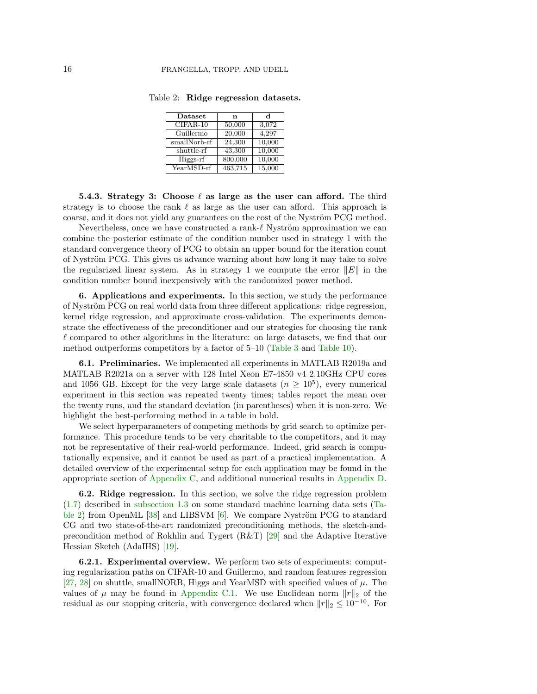| Dataset      | n       | d      |
|--------------|---------|--------|
| $CIFAR-10$   | 50,000  | 3,072  |
| Guillermo    | 20,000  | 4,297  |
| smallNorb-rf | 24,300  | 10,000 |
| shuttle-rf   | 43,300  | 10,000 |
| Higgs-rf     | 800,000 | 10,000 |
| YearMSD-rf   | 463,715 | 15,000 |

<span id="page-15-2"></span>Table 2: Ridge regression datasets.

<span id="page-15-3"></span>5.4.3. Strategy 3: Choose  $\ell$  as large as the user can afford. The third strategy is to choose the rank  $\ell$  as large as the user can afford. This approach is coarse, and it does not yield any guarantees on the cost of the Nyström PCG method.

Nevertheless, once we have constructed a rank- $\ell$  Nyström approximation we can combine the posterior estimate of the condition number used in strategy 1 with the standard convergence theory of PCG to obtain an upper bound for the iteration count of Nyström PCG. This gives us advance warning about how long it may take to solve the regularized linear system. As in strategy 1 we compute the error  $||E||$  in the condition number bound inexpensively with the randomized power method.

<span id="page-15-1"></span>6. Applications and experiments. In this section, we study the performance of Nyström PCG on real world data from three different applications: ridge regression, kernel ridge regression, and approximate cross-validation. The experiments demonstrate the effectiveness of the preconditioner and our strategies for choosing the rank  $\ell$  compared to other algorithms in the literature: on large datasets, we find that our method outperforms competitors by a factor of 5–10 [\(Table 3](#page-18-0) and [Table 10\)](#page-22-5).

6.1. Preliminaries. We implemented all experiments in MATLAB R2019a and MATLAB R2021a on a server with 128 Intel Xeon E7-4850 v4 2.10GHz CPU cores and 1056 GB. Except for the very large scale datasets  $(n \geq 10^5)$ , every numerical experiment in this section was repeated twenty times; tables report the mean over the twenty runs, and the standard deviation (in parentheses) when it is non-zero. We highlight the best-performing method in a table in bold.

We select hyperparameters of competing methods by grid search to optimize performance. This procedure tends to be very charitable to the competitors, and it may not be representative of their real-world performance. Indeed, grid search is computationally expensive, and it cannot be used as part of a practical implementation. A detailed overview of the experimental setup for each application may be found in the appropriate section of [Appendix C,](#page-33-0) and additional numerical results in [Appendix D.](#page-34-0)

<span id="page-15-0"></span>6.2. Ridge regression. In this section, we solve the ridge regression problem [\(1.7\)](#page-2-2) described in [subsection 1.3](#page-2-3) on some standard machine learning data sets [\(Ta](#page-15-2)[ble 2\)](#page-15-2) from OpenML [\[38\]](#page-24-6) and LIBSVM  $[6]$ . We compare Nyström PCG to standard CG and two state-of-the-art randomized preconditioning methods, the sketch-andprecondition method of Rokhlin and Tygert (R&T) [\[29\]](#page-23-4) and the Adaptive Iterative Hessian Sketch (AdaIHS) [\[19\]](#page-23-2).

6.2.1. Experimental overview. We perform two sets of experiments: computing regularization paths on CIFAR-10 and Guillermo, and random features regression [\[27,](#page-23-17) [28\]](#page-23-18) on shuttle, smallNORB, Higgs and YearMSD with specified values of  $\mu$ . The values of  $\mu$  may be found in [Appendix C.1.](#page-33-1) We use Euclidean norm  $||r||_2$  of the residual as our stopping criteria, with convergence declared when  $||r||_2 \leq 10^{-10}$ . For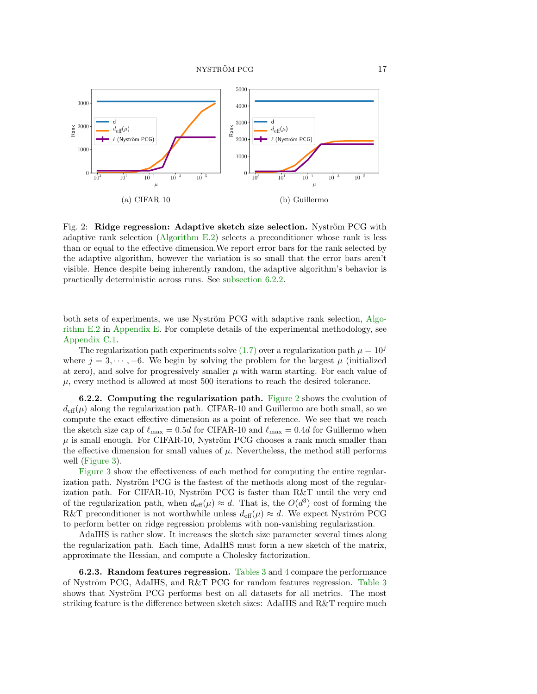<span id="page-16-1"></span>

Fig. 2: Ridge regression: Adaptive sketch size selection. Nyström PCG with adaptive rank selection [\(Algorithm E.2\)](#page-36-0) selects a preconditioner whose rank is less than or equal to the effective dimension.We report error bars for the rank selected by the adaptive algorithm, however the variation is so small that the error bars aren't visible. Hence despite being inherently random, the adaptive algorithm's behavior is practically deterministic across runs. See [subsection 6.2.2.](#page-16-0)

both sets of experiments, we use Nyström PCG with adaptive rank selection, [Algo](#page-36-0)[rithm E.2](#page-36-0) in [Appendix E.](#page-35-1) For complete details of the experimental methodology, see [Appendix C.1.](#page-33-1)

The regularization path experiments solve [\(1.7\)](#page-2-2) over a regularization path  $\mu = 10^{j}$ where  $j = 3, \dots, -6$ . We begin by solving the problem for the largest  $\mu$  (initialized at zero), and solve for progressively smaller  $\mu$  with warm starting. For each value of  $\mu$ , every method is allowed at most 500 iterations to reach the desired tolerance.

<span id="page-16-0"></span>6.2.2. Computing the regularization path. [Figure 2](#page-16-1) shows the evolution of  $d_{\text{eff}}(\mu)$  along the regularization path. CIFAR-10 and Guillermo are both small, so we compute the exact effective dimension as a point of reference. We see that we reach the sketch size cap of  $\ell_{\text{max}} = 0.5d$  for CIFAR-10 and  $\ell_{\text{max}} = 0.4d$  for Guillermo when  $\mu$  is small enough. For CIFAR-10, Nyström PCG chooses a rank much smaller than the effective dimension for small values of  $\mu$ . Nevertheless, the method still performs well [\(Figure 3\)](#page-17-0).

[Figure 3](#page-17-0) show the effectiveness of each method for computing the entire regularization path. Nyström PCG is the fastest of the methods along most of the regularization path. For CIFAR-10, Nyström PCG is faster than  $R&T$  until the very end of the regularization path, when  $d_{\text{eff}}(\mu) \approx d$ . That is, the  $O(d^3)$  cost of forming the R&T preconditioner is not worthwhile unless  $d_{\text{eff}}(\mu) \approx d$ . We expect Nyström PCG to perform better on ridge regression problems with non-vanishing regularization.

AdaIHS is rather slow. It increases the sketch size parameter several times along the regularization path. Each time, AdaIHS must form a new sketch of the matrix, approximate the Hessian, and compute a Cholesky factorization.

**6.2.3.** Random features regression. Tables  $3$  and  $4$  compare the performance of Nyström PCG, AdaIHS, and R&T PCG for random features regression. Table  $3$ shows that Nyström PCG performs best on all datasets for all metrics. The most striking feature is the difference between sketch sizes: AdaIHS and R&T require much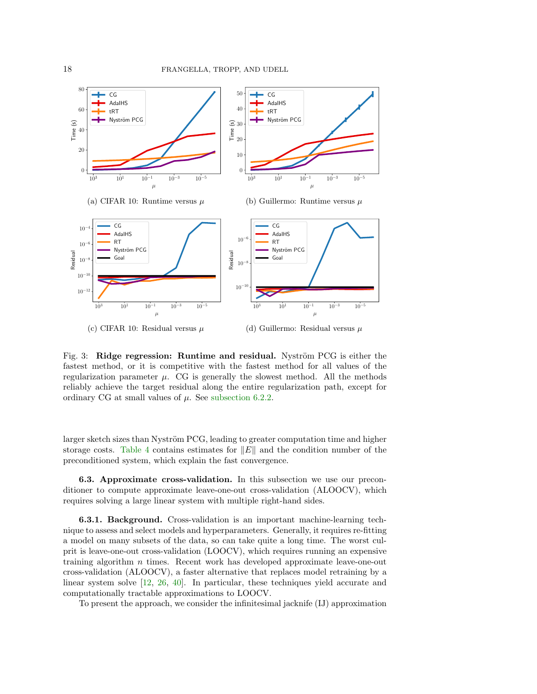<span id="page-17-0"></span>

Fig. 3: Ridge regression: Runtime and residual. Nyström PCG is either the fastest method, or it is competitive with the fastest method for all values of the regularization parameter  $\mu$ . CG is generally the slowest method. All the methods reliably achieve the target residual along the entire regularization path, except for ordinary CG at small values of  $\mu$ . See [subsection 6.2.2.](#page-16-0)

larger sketch sizes than Nyström PCG, leading to greater computation time and higher storage costs. [Table 4](#page-18-1) contains estimates for  $||E||$  and the condition number of the preconditioned system, which explain the fast convergence.

<span id="page-17-1"></span>6.3. Approximate cross-validation. In this subsection we use our preconditioner to compute approximate leave-one-out cross-validation (ALOOCV), which requires solving a large linear system with multiple right-hand sides.

6.3.1. Background. Cross-validation is an important machine-learning technique to assess and select models and hyperparameters. Generally, it requires re-fitting a model on many subsets of the data, so can take quite a long time. The worst culprit is leave-one-out cross-validation (LOOCV), which requires running an expensive training algorithm n times. Recent work has developed approximate leave-one-out cross-validation (ALOOCV), a faster alternative that replaces model retraining by a linear system solve [\[12,](#page-23-19) [26,](#page-23-20) [40\]](#page-24-7). In particular, these techniques yield accurate and computationally tractable approximations to LOOCV.

To present the approach, we consider the infinitesimal jacknife (IJ) approximation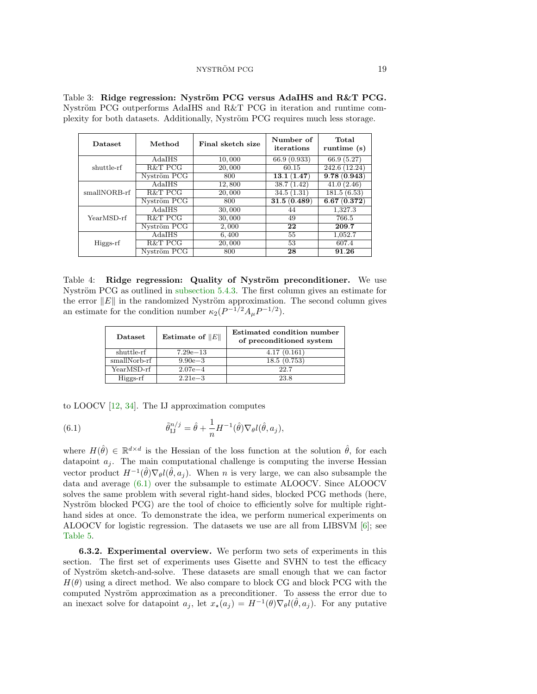| <b>Dataset</b> | Method      | Final sketch size | Number of<br>iterations | Total<br>runtime (s) |
|----------------|-------------|-------------------|-------------------------|----------------------|
|                | AdaIHS      | 10,000            | 66.9 (0.933)            | 66.9 (5.27)          |
| shuttle-rf     | R&T PCG     | 20,000            | 60.15                   | 242.6 (12.24)        |
|                | Nyström PCG | 800               | 13.1(1.47)              | 9.78(0.943)          |
| smallNORB-rf   | AdaIHS      | 12,800            | 38.7(1.42)              | 41.0(2.46)           |
|                | R&T PCG     | 20,000            | 34.5(1.31)              | 181.5(6.53)          |
|                | Nyström PCG | 800               | 31.5(0.489)             | 6.67(0.372)          |
|                | AdaIHS      | 30,000            | 44                      | 1.327.3              |
| YearMSD-rf     | R&T PCG     | 30,000            | 49                      | 766.5                |
|                | Nyström PCG | 2,000             | 22                      | 209.7                |
|                | AdaIHS      | 6,400             | 55                      | 1,052.7              |
| Higgs-rf       | R&T PCG     | 20,000            | 53                      | 607.4                |
|                | Nyström PCG | 800               | 28                      | 91.26                |

<span id="page-18-0"></span>Table 3: Ridge regression: Nyström PCG versus AdaIHS and R&T PCG. Nyström PCG outperforms AdaIHS and R&T PCG in iteration and runtime complexity for both datasets. Additionally, Nyström PCG requires much less storage.

<span id="page-18-1"></span>Table 4: Ridge regression: Quality of Nyström preconditioner. We use Nyström PCG as outlined in subsection  $5.4.3$ . The first column gives an estimate for the error  $||E||$  in the randomized Nyström approximation. The second column gives an estimate for the condition number  $\kappa_2(P^{-1/2}A_\mu P^{-1/2})$ .

| Dataset      | Estimate of $  E  $ | Estimated condition number<br>of preconditioned system |
|--------------|---------------------|--------------------------------------------------------|
| shuttle-rf   | $7.29e - 13$        | 4.17(0.161)                                            |
| smallNorb-rf | $9.90e - 3$         | 18.5(0.753)                                            |
| YearMSD-rf   | $2.07e - 4$         | 22.7                                                   |
| Higgs-rf     | $2.21e - 3$         | 23.8                                                   |

to LOOCV [\[12,](#page-23-19) [34\]](#page-24-8). The IJ approximation computes

<span id="page-18-2"></span>(6.1) 
$$
\tilde{\theta}_{IJ}^{n/j} = \hat{\theta} + \frac{1}{n} H^{-1}(\hat{\theta}) \nabla_{\theta} l(\hat{\theta}, a_j),
$$

where  $H(\hat{\theta}) \in \mathbb{R}^{d \times d}$  is the Hessian of the loss function at the solution  $\hat{\theta}$ , for each datapoint  $a_j$ . The main computational challenge is computing the inverse Hessian vector product  $H^{-1}(\hat{\theta})\nabla_{\theta}l(\hat{\theta}, a_j)$ . When n is very large, we can also subsample the data and average [\(6.1\)](#page-18-2) over the subsample to estimate ALOOCV. Since ALOOCV solves the same problem with several right-hand sides, blocked PCG methods (here, Nyström blocked PCG) are the tool of choice to efficiently solve for multiple righthand sides at once. To demonstrate the idea, we perform numerical experiments on ALOOCV for logistic regression. The datasets we use are all from LIBSVM [\[6\]](#page-22-6); see [Table 5.](#page-19-1)

6.3.2. Experimental overview. We perform two sets of experiments in this section. The first set of experiments uses Gisette and SVHN to test the efficacy of Nyström sketch-and-solve. These datasets are small enough that we can factor  $H(\theta)$  using a direct method. We also compare to block CG and block PCG with the computed Nyström approximation as a preconditioner. To assess the error due to an inexact solve for datapoint  $a_j$ , let  $x_{\star}(a_j) = H^{-1}(\theta) \nabla_{\theta} l(\hat{\theta}, a_j)$ . For any putative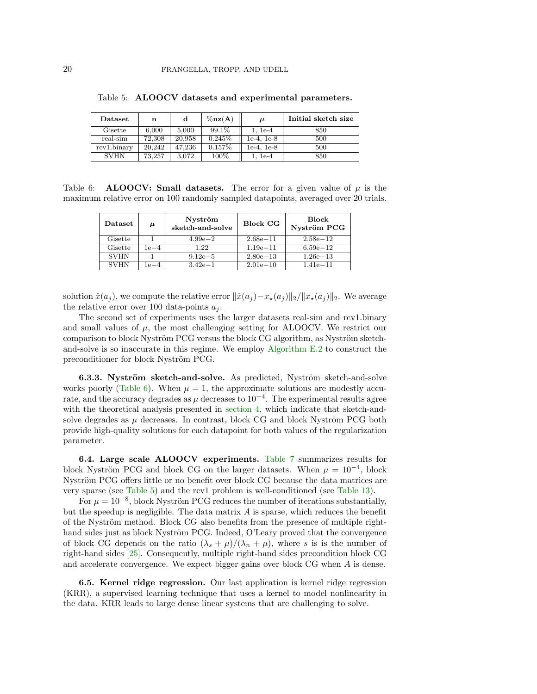| Dataset     | n      | d      | $\%$ nz $(A)$ | $\boldsymbol{\mu}$ | Initial sketch size |
|-------------|--------|--------|---------------|--------------------|---------------------|
| Gisette     | 6.000  | 5.000  | 99.1\%        | $1, 1e-4$          | 850                 |
| real-sim    | 72.308 | 20.958 | $0.245\%$     | $1e-4, 1e-8$       | 500                 |
| rcv1.binary | 20,242 | 47.236 | $0.157\%$     | $1e-4.1e-8$        | 500                 |
| <b>SVHN</b> | 73,257 | 3.072  | 100%          | 1. 1e-4            | 850                 |

<span id="page-19-1"></span>Table 5: ALOOCV datasets and experimental parameters.

<span id="page-19-2"></span>Table 6: **ALOOCV:** Small datasets. The error for a given value of  $\mu$  is the maximum relative error on 100 randomly sampled datapoints, averaged over 20 trials.

| $\mathbf{D}\text{at } \text{aset}$ | $\boldsymbol{\mu}$ | Nyström<br>sketch-and-solve | <b>Block CG</b> | <b>Block</b><br>Nyström PCG |
|------------------------------------|--------------------|-----------------------------|-----------------|-----------------------------|
| Gisette                            |                    | $4.99e - 2$                 | $2.68e - 11$    | $2.58e - 12$                |
| Gisette                            | $1e-4$             | 1.22                        | $1.19e - 11$    | $6.59e - 12$                |
| <b>SVHN</b>                        |                    | $9.12e - 5$                 | $2.80e - 13$    | $1.26e - 13$                |
| <b>SVHN</b>                        | $1e-4$             | $3.42e - 1$                 | $2.01e - 10$    | $1.41e - 11$                |

solution  $\hat{x}(a_j)$ , we compute the relative error  $\|\hat{x}(a_j) - x_{\star}(a_j)\|_2/\|x_{\star}(a_j)\|_2$ . We average the relative error over 100 data-points  $a_i$ .

The second set of experiments uses the larger datasets real-sim and rcv1.binary and small values of  $\mu$ , the most challenging setting for ALOOCV. We restrict our comparison to block Nyström PCG versus the block CG algorithm, as Nyström sketchand-solve is so inaccurate in this regime. We employ [Algorithm E.2](#page-36-0) to construct the preconditioner for block Nyström PCG.

6.3.3. Nyström sketch-and-solve. As predicted, Nyström sketch-and-solve works poorly [\(Table 6\)](#page-19-2). When  $\mu = 1$ , the approximate solutions are modestly accurate, and the accuracy degrades as  $\mu$  decreases to  $10^{-4}$ . The experimental results agree with the theoretical analysis presented in [section 4,](#page-7-0) which indicate that sketch-andsolve degrades as  $\mu$  decreases. In contrast, block CG and block Nyström PCG both provide high-quality solutions for each datapoint for both values of the regularization parameter.

6.4. Large scale ALOOCV experiments. [Table 7](#page-20-0) summarizes results for block Nyström PCG and block CG on the larger datasets. When  $\mu = 10^{-4}$ , block Nyström PCG offers little or no benefit over block CG because the data matrices are very sparse (see [Table 5\)](#page-19-1) and the rcv1 problem is well-conditioned (see [Table 13\)](#page-35-2).

For  $\mu = 10^{-8}$ , block Nyström PCG reduces the number of iterations substantially, but the speedup is negligible. The data matrix  $A$  is sparse, which reduces the benefit of the Nyström method. Block CG also benefits from the presence of multiple righthand sides just as block Nyström PCG. Indeed, O'Leary proved that the convergence of block CG depends on the ratio  $(\lambda_s + \mu)/(\lambda_n + \mu)$ , where s is is the number of right-hand sides [\[25\]](#page-23-13). Consequently, multiple right-hand sides precondition block CG and accelerate convergence. We expect bigger gains over block CG when A is dense.

<span id="page-19-0"></span>6.5. Kernel ridge regression. Our last application is kernel ridge regression (KRR), a supervised learning technique that uses a kernel to model nonlinearity in the data. KRR leads to large dense linear systems that are challenging to solve.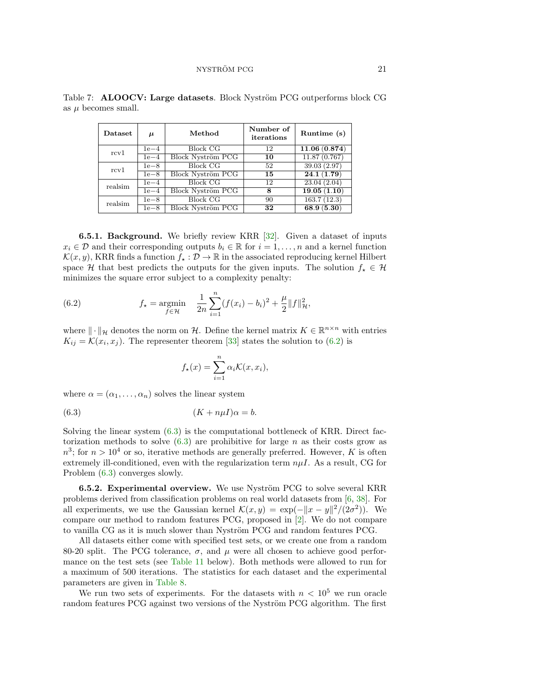| <b>Dataset</b> | $\boldsymbol{\mu}$ | Method                   | Number of<br>iterations | Runtime (s)  |
|----------------|--------------------|--------------------------|-------------------------|--------------|
| rcv1           | $1e-4$             | Block CG                 | 12                      | 11.06(0.874) |
| $1e-4$         |                    | Block Nyström PCG        | 10                      | 11.87(0.767) |
| rcv1           | $1e-8$             | <b>Block CG</b>          | 52                      | 39.03 (2.97) |
|                | $1e-8$             | <b>Block Nyström PCG</b> | 15                      | 24.1(1.79)   |
| realsim        | $1e-4$             | <b>Block CG</b>          | 12                      | 23.04(2.04)  |
|                | $1e-4$             | <b>Block Nyström PCG</b> | 8                       | 19.05(1.10)  |
| realsim        | $1e-8$             | <b>Block CG</b>          | 90                      | 163.7(12.3)  |
|                | $1e-8$             | <b>Block Nyström PCG</b> | 32                      | 68.9 (5.30)  |

<span id="page-20-0"></span>Table 7: **ALOOCV: Large datasets**. Block Nyström PCG outperforms block CG as  $\mu$  becomes small.

6.5.1. Background. We briefly review KRR [\[32\]](#page-23-21). Given a dataset of inputs  $x_i \in \mathcal{D}$  and their corresponding outputs  $b_i \in \mathbb{R}$  for  $i = 1, \ldots, n$  and a kernel function  $\mathcal{K}(x, y)$ , KRR finds a function  $f_* : \mathcal{D} \to \mathbb{R}$  in the associated reproducing kernel Hilbert space H that best predicts the outputs for the given inputs. The solution  $f_* \in \mathcal{H}$ minimizes the square error subject to a complexity penalty:

(6.2) 
$$
f_{\star} = \underset{f \in \mathcal{H}}{\text{argmin}} \quad \frac{1}{2n} \sum_{i=1}^{n} (f(x_i) - b_i)^2 + \frac{\mu}{2} ||f||_{\mathcal{H}}^2,
$$

where  $\|\cdot\|_{\mathcal{H}}$  denotes the norm on H. Define the kernel matrix  $K \in \mathbb{R}^{n \times n}$  with entries  $K_{ij} = \mathcal{K}(x_i, x_j)$ . The representer theorem [\[33\]](#page-23-22) states the solution to [\(6.2\)](#page-20-1) is

<span id="page-20-2"></span><span id="page-20-1"></span>
$$
f_{\star}(x) = \sum_{i=1}^{n} \alpha_i \mathcal{K}(x, x_i),
$$

where  $\alpha = (\alpha_1, \ldots, \alpha_n)$  solves the linear system

$$
(6.3) \t\t\t (K + n\mu I)\alpha = b.
$$

Solving the linear system [\(6.3\)](#page-20-2) is the computational bottleneck of KRR. Direct factorization methods to solve  $(6.3)$  are prohibitive for large n as their costs grow as  $n^3$ ; for  $n > 10^4$  or so, iterative methods are generally preferred. However, K is often extremely ill-conditioned, even with the regularization term  $n\mu I$ . As a result, CG for Problem [\(6.3\)](#page-20-2) converges slowly.

**6.5.2. Experimental overview.** We use Nyström PCG to solve several KRR problems derived from classification problems on real world datasets from [\[6,](#page-22-6) [38\]](#page-24-6). For all experiments, we use the Gaussian kernel  $\mathcal{K}(x, y) = \exp(-||x - y||^2 / (2\sigma^2))$ . We compare our method to random features PCG, proposed in [\[2\]](#page-22-1). We do not compare to vanilla CG as it is much slower than Nyström PCG and random features PCG.

All datasets either come with specified test sets, or we create one from a random 80-20 split. The PCG tolerance,  $\sigma$ , and  $\mu$  were all chosen to achieve good performance on the test sets (see [Table 11](#page-22-7) below). Both methods were allowed to run for a maximum of 500 iterations. The statistics for each dataset and the experimental parameters are given in [Table 8.](#page-21-0)

We run two sets of experiments. For the datasets with  $n < 10^5$  we run oracle random features PCG against two versions of the Nyström PCG algorithm. The first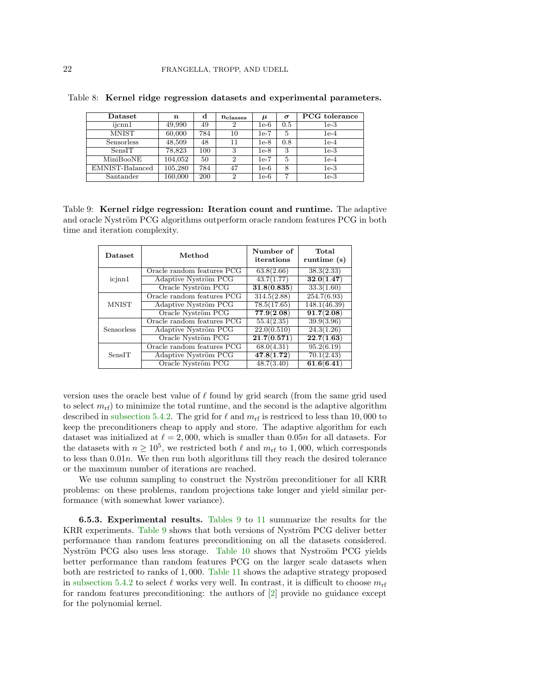| Dataset         | n       | d   | $n_{\rm classes}$ | $\mu$  | $\sigma$ | <b>PCG</b> tolerance |
|-----------------|---------|-----|-------------------|--------|----------|----------------------|
| ijcnn1          | 49,990  | 49  | 2                 | $1e-6$ | 0.5      | 1e-3                 |
| MNIST           | 60,000  | 784 | 10                | 1e-7   | 5        | 1e-4                 |
| Sensorless      | 48,509  | 48  | 11                | $1e-8$ | 0.8      | 1e-4                 |
| SensIT          | 78,823  | 100 | 3                 | 1e-8   | 3        | 1e-3                 |
| MiniBooNE       | 104,052 | 50  | 2                 | 1e-7   | 5        | 1e-4                 |
| EMNIST-Balanced | 105,280 | 784 | 47                | 1e-6   | 8        | $1e-3$               |
| Santander       | 160,000 | 200 | $\overline{2}$    | 1e-6   | 7        | $1e-3$               |

<span id="page-21-0"></span>Table 8: Kernel ridge regression datasets and experimental parameters.

<span id="page-21-1"></span>Table 9: Kernel ridge regression: Iteration count and runtime. The adaptive and oracle Nyström PCG algorithms outperform oracle random features PCG in both time and iteration complexity.

| <b>Dataset</b> | Method                     | Number of<br>iterations | Total<br>runtime (s) |
|----------------|----------------------------|-------------------------|----------------------|
|                | Oracle random features PCG | 63.8(2.66)              | 38.3(2.33)           |
| icinn1         | Adaptive Nyström PCG       | 43.7(1.77)              | 32.0(1.47)           |
|                | Oracle Nyström PCG         | 31.8(0.835)             | 33.3(1.60)           |
|                | Oracle random features PCG | 314.5(2.88)             | 254.7(6.93)          |
| <b>MNIST</b>   | Adaptive Nyström PCG       | 78.5(17.65)             | 148.1(46.39)         |
|                | Oracle Nyström PCG         | 77.9(2.08)              | 91.7(2.08)           |
|                | Oracle random features PCG | 55.4(2.35)              | 39.9(3.96)           |
| Sensorless     | Adaptive Nyström PCG       | 22.0(0.510)             | 24.3(1.26)           |
|                | Oracle Nyström PCG         | 21.7(0.571)             | 22.7(1.63)           |
|                | Oracle random features PCG | 68.0(4.31)              | 95.2(6.19)           |
| SensIT         | Adaptive Nyström PCG       | 47.8(1.72)              | 70.1(2.43)           |
|                | Oracle Nyström PCG         | 48.7(3.40)              | 61.6(6.41)           |

version uses the oracle best value of  $\ell$  found by grid search (from the same grid used to select  $m_{\text{rf}}$ ) to minimize the total runtime, and the second is the adaptive algorithm described in [subsection 5.4.2.](#page-14-1) The grid for  $\ell$  and  $m_{\rm rf}$  is restriced to less than 10,000 to keep the preconditioners cheap to apply and store. The adaptive algorithm for each dataset was initialized at  $\ell = 2,000$ , which is smaller than 0.05n for all datasets. For the datasets with  $n \geq 10^5$ , we restricted both  $\ell$  and  $m_{\text{rf}}$  to 1,000, which corresponds to less than  $0.01n$ . We then run both algorithms till they reach the desired tolerance or the maximum number of iterations are reached.

We use column sampling to construct the Nyström preconditioner for all KRR problems: on these problems, random projections take longer and yield similar performance (with somewhat lower variance).

6.5.3. Experimental results. [Tables 9](#page-21-1) to [11](#page-22-7) summarize the results for the KRR experiments. [Table 9](#page-21-1) shows that both versions of Nyström PCG deliver better performance than random features preconditioning on all the datasets considered. Nyström PCG also uses less storage. [Table 10](#page-22-5) shows that Nystroöm PCG yields better performance than random features PCG on the larger scale datasets when both are restricted to ranks of 1, 000. [Table 11](#page-22-7) shows the adaptive strategy proposed in [subsection 5.4.2](#page-14-1) to select  $\ell$  works very well. In contrast, it is difficult to choose  $m_{\text{rf}}$ for random features preconditioning: the authors of [\[2\]](#page-22-1) provide no guidance except for the polynomial kernel.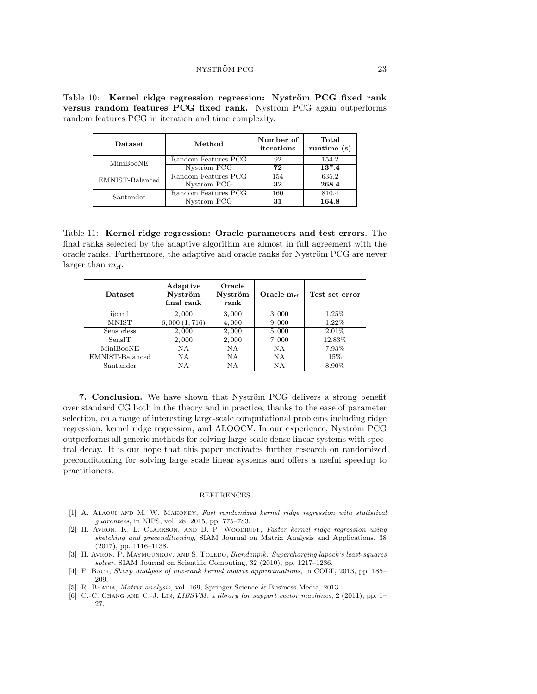<span id="page-22-5"></span>Table 10: Kernel ridge regression regression: Nyström PCG fixed rank versus random features PCG fixed rank. Nyström PCG again outperforms random features PCG in iteration and time complexity.

| <b>Dataset</b>  | Method              | Number of<br>iterations | Total<br>runtime $(s)$ |
|-----------------|---------------------|-------------------------|------------------------|
| MiniBooNE       | Random Features PCG | 92                      | 154.2                  |
|                 | Nyström PCG         | 72                      | 137.4                  |
| EMNIST-Balanced | Random Features PCG | 154                     | 635.2                  |
|                 | Nyström PCG         | 32                      | 268.4                  |
| Santander       | Random Features PCG | 160                     | 810.4                  |
|                 | Nyström PCG         | 31                      | 164.8                  |

<span id="page-22-7"></span>Table 11: Kernel ridge regression: Oracle parameters and test errors. The final ranks selected by the adaptive algorithm are almost in full agreement with the oracle ranks. Furthermore, the adaptive and oracle ranks for Nyström PCG are never larger than  $m_{\text{rf}}$ .

| <b>Dataset</b>  | Adaptive<br>Nyström<br>final rank | Oracle<br>Nyström<br>rank | Oracle $m_{rf}$ | Test set error |
|-----------------|-----------------------------------|---------------------------|-----------------|----------------|
| ijcnn1          | 2,000                             | 3,000                     | 3,000           | 1.25%          |
| MNIST           | 6,000(1,716)                      | 4,000                     | 9,000           | 1.22%          |
| Sensorless      | 2,000                             | 2,000                     | 5,000           | $2.01\%$       |
| SensIT          | 2,000                             | 2,000                     | 7,000           | 12.83%         |
| MiniBooNE       | NA                                | NA                        | NΑ              | 7.93%          |
| EMNIST-Balanced | <b>NA</b>                         | NA                        | NΑ              | $15\%$         |
| Santander       | ΝA                                | NΑ                        | NΑ              | 8.90%          |

**7. Conclusion.** We have shown that Nyström PCG delivers a strong benefit over standard CG both in the theory and in practice, thanks to the ease of parameter selection, on a range of interesting large-scale computational problems including ridge regression, kernel ridge regression, and ALOOCV. In our experience, Nyström PCG outperforms all generic methods for solving large-scale dense linear systems with spectral decay. It is our hope that this paper motivates further research on randomized preconditioning for solving large scale linear systems and offers a useful speedup to practitioners.

#### REFERENCES

- <span id="page-22-0"></span>[1] A. ALAOUI AND M. W. MAHONEY, Fast randomized kernel ridge regression with statistical guarantees, in NIPS, vol. 28, 2015, pp. 775–783.
- <span id="page-22-1"></span>[2] H. Avron, K. L. Clarkson, and D. P. Woodruff, Faster kernel ridge regression using sketching and preconditioning, SIAM Journal on Matrix Analysis and Applications, 38 (2017), pp. 1116–1138.
- <span id="page-22-3"></span>[3] H. AVRON, P. MAYMOUNKOV, AND S. TOLEDO, Blendenpik: Supercharging lapack's least-squares solver, SIAM Journal on Scientific Computing, 32 (2010), pp. 1217–1236.
- <span id="page-22-2"></span>[4] F. Bach, Sharp analysis of low-rank kernel matrix approximations, in COLT, 2013, pp. 185– 209.
- <span id="page-22-4"></span>[5] R. BHATIA, *Matrix analysis*, vol. 169, Springer Science & Business Media, 2013.
- <span id="page-22-6"></span>[6] C.-C. CHANG AND C.-J. LIN, *LIBSVM: a library for support vector machines*, 2 (2011), pp. 1– 27.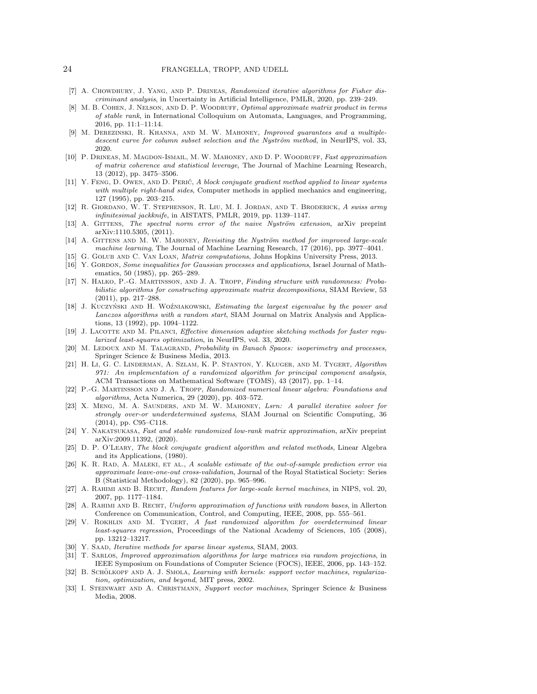#### 24 FRANGELLA, TROPP, AND UDELL

- <span id="page-23-1"></span>[7] A. CHOWDHURY, J. YANG, AND P. DRINEAS, Randomized iterative algorithms for Fisher discriminant analysis, in Uncertainty in Artificial Intelligence, PMLR, 2020, pp. 239–249.
- <span id="page-23-15"></span>[8] M. B. COHEN, J. NELSON, AND D. P. WOODRUFF, Optimal approximate matrix product in terms of stable rank, in International Colloquium on Automata, Languages, and Programming, 2016, pp. 11:1–11:14.
- <span id="page-23-6"></span>[9] M. Derezinski, R. Khanna, and M. W. Mahoney, Improved guarantees and a multipledescent curve for column subset selection and the Nyström method, in NeurIPS, vol. 33, 2020.
- <span id="page-23-9"></span>[10] P. Drineas, M. Magdon-Ismail, M. W. Mahoney, and D. P. Woodruff, Fast approximation of matrix coherence and statistical leverage, The Journal of Machine Learning Research, 13 (2012), pp. 3475–3506.
- <span id="page-23-14"></span>[11] Y. FENG, D. OWEN, AND D. PERIĆ, A block conjugate gradient method applied to linear systems with multiple right-hand sides, Computer methods in applied mechanics and engineering, 127 (1995), pp. 203–215.
- <span id="page-23-19"></span>[12] R. Giordano, W. T. Stephenson, R. Liu, M. I. Jordan, and T. Broderick, A swiss army infinitesimal jackknife, in AISTATS, PMLR, 2019, pp. 1139–1147.
- <span id="page-23-7"></span>[13] A. GITTENS, The spectral norm error of the naive Nyström extension, arXiv preprint arXiv:1110.5305, (2011).
- <span id="page-23-8"></span>[14] A. GITTENS AND M. W. MAHONEY, Revisiting the Nyström method for improved large-scale machine learning, The Journal of Machine Learning Research, 17 (2016), pp. 3977–4041.
- <span id="page-23-25"></span><span id="page-23-10"></span>[15] G. Golub and C. Van Loan, Matrix computations, Johns Hopkins University Press, 2013. [16] Y. GORDON, Some inequalities for Gaussian processes and applications, Israel Journal of Math-
- ematics, 50 (1985), pp. 265–289.
- <span id="page-23-23"></span>[17] N. Halko, P.-G. Martinsson, and J. A. Tropp, Finding structure with randomness: Probabilistic algorithms for constructing approximate matrix decompositions, SIAM Review, 53 (2011), pp. 217–288.
- <span id="page-23-16"></span>[18] J. KUCZYŃSKI AND H. WOŹNIAKOWSKI, Estimating the largest eigenvalue by the power and Lanczos algorithms with a random start, SIAM Journal on Matrix Analysis and Applications, 13 (1992), pp. 1094–1122.
- <span id="page-23-2"></span>[19] J. LACOTTE AND M. PILANCI, Effective dimension adaptive sketching methods for faster regularized least-squares optimization, in NeurIPS, vol. 33, 2020.
- <span id="page-23-26"></span>[20] M. LEDOUX AND M. TALAGRAND, Probability in Banach Spaces: isoperimetry and processes, Springer Science & Business Media, 2013.
- <span id="page-23-5"></span>[21] H. Li, G. C. Linderman, A. Szlam, K. P. Stanton, Y. Kluger, and M. Tygert, Algorithm 971: An implementation of a randomized algorithm for principal component analysis, ACM Transactions on Mathematical Software (TOMS), 43 (2017), pp. 1–14.
- <span id="page-23-0"></span>[22] P.-G. Martinsson and J. A. Tropp, Randomized numerical linear algebra: Foundations and algorithms, Acta Numerica, 29 (2020), pp. 403–572.
- <span id="page-23-3"></span>[23] X. MENG, M. A. SAUNDERS, AND M. W. MAHONEY, Lsrn: A parallel iterative solver for strongly over-or underdetermined systems, SIAM Journal on Scientific Computing, 36 (2014), pp. C95–C118.
- <span id="page-23-24"></span>[24] Y. Nakatsukasa, Fast and stable randomized low-rank matrix approximation, arXiv preprint arXiv:2009.11392, (2020).
- <span id="page-23-13"></span>[25] D. P. O'LEARY, The block conjugate gradient algorithm and related methods, Linear Algebra and its Applications, (1980).
- <span id="page-23-20"></span>[26] K. R. RAD, A. MALEKI, ET AL., A scalable estimate of the out-of-sample prediction error via approximate leave-one-out cross-validation, Journal of the Royal Statistical Society: Series B (Statistical Methodology), 82 (2020), pp. 965–996.
- <span id="page-23-17"></span>[27] A. RAHIMI AND B. RECHT, Random features for large-scale kernel machines, in NIPS, vol. 20, 2007, pp. 1177–1184.
- <span id="page-23-18"></span>[28] A. RAHIMI AND B. RECHT, Uniform approximation of functions with random bases, in Allerton Conference on Communication, Control, and Computing, IEEE, 2008, pp. 555–561.
- <span id="page-23-4"></span>[29] V. Rokhlin and M. Tygert, A fast randomized algorithm for overdetermined linear least-squares regression, Proceedings of the National Academy of Sciences, 105 (2008), pp. 13212–13217.
- <span id="page-23-12"></span>[30] Y. SAAD, Iterative methods for sparse linear systems, SIAM, 2003.
- <span id="page-23-11"></span>[31] T. SARLOS, *Improved approximation algorithms for large matrices via random projections*, in IEEE Symposium on Foundations of Computer Science (FOCS), IEEE, 2006, pp. 143–152.
- <span id="page-23-21"></span>[32] B. SCHÖLKOPF AND A. J. SMOLA, Learning with kernels: support vector machines, regularization, optimization, and beyond, MIT press, 2002.
- <span id="page-23-22"></span>[33] I. Steinwart and A. Christmann, Support vector machines, Springer Science & Business Media, 2008.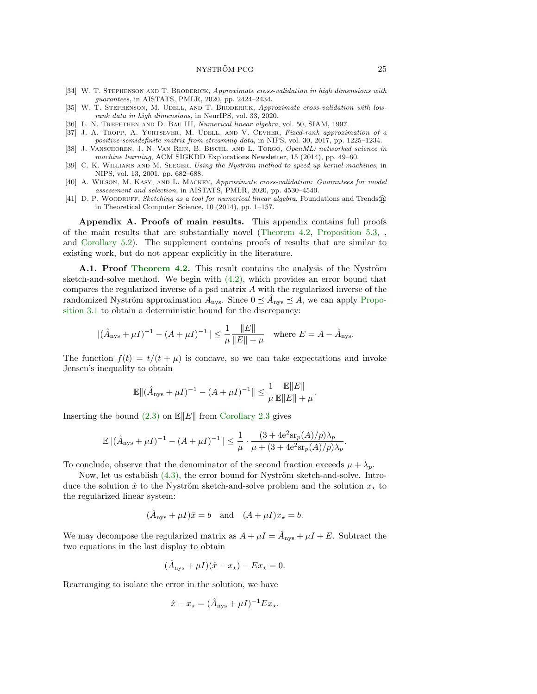NYSTRÖM PCG  $25$ 

- <span id="page-24-8"></span>[34] W. T. STEPHENSON AND T. BRODERICK, Approximate cross-validation in high dimensions with guarantees, in AISTATS, PMLR, 2020, pp. 2424–2434.
- <span id="page-24-4"></span>[35] W. T. STEPHENSON, M. UDELL, AND T. BRODERICK, Approximate cross-validation with lowrank data in high dimensions, in NeurIPS, vol. 33, 2020.
- <span id="page-24-0"></span>[36] L. N. TREFETHEN AND D. BAU III, Numerical linear algebra, vol. 50, SIAM, 1997.
- <span id="page-24-1"></span>[37] J. A. TROPP, A. YURTSEVER, M. UDELL, AND V. CEVHER, Fixed-rank approximation of a positive-semidefinite matrix from streaming data, in NIPS, vol. 30, 2017, pp. 1225–1234.
- <span id="page-24-6"></span>[38] J. VANSCHOREN, J. N. VAN RIJN, B. BISCHL, AND L. TORGO, OpenML: networked science in machine learning, ACM SIGKDD Explorations Newsletter, 15 (2014), pp. 49–60.
- <span id="page-24-2"></span>[39] C. K. WILLIAMS AND M. SEEGER, Using the Nyström method to speed up kernel machines, in NIPS, vol. 13, 2001, pp. 682–688.
- <span id="page-24-7"></span>[40] A. Wilson, M. Kasy, and L. Mackey, Approximate cross-validation: Guarantees for model assessment and selection, in AISTATS, PMLR, 2020, pp. 4530–4540.
- <span id="page-24-5"></span>[41] D. P. WOODRUFF, Sketching as a tool for numerical linear algebra, Foundations and Trends® in Theoretical Computer Science, 10 (2014), pp. 1–157.

Appendix A. Proofs of main results. This appendix contains full proofs of the main results that are substantially novel [\(Theorem 4.2,](#page-7-1) [Proposition 5.3,](#page-12-0) , and [Corollary 5.2\)](#page-11-1). The supplement contains proofs of results that are similar to existing work, but do not appear explicitly in the literature.

<span id="page-24-3"></span>A.1. Proof [Theorem 4.2.](#page-7-1) This result contains the analysis of the Nyström sketch-and-solve method. We begin with  $(4.2)$ , which provides an error bound that compares the regularized inverse of a psd matrix A with the regularized inverse of the randomized Nyström approximation  $\hat{A}_{\text{nys}}$ . Since  $0 \leq \hat{A}_{\text{nys}} \leq \hat{A}$ , we can apply [Propo](#page-6-3)[sition 3.1](#page-6-3) to obtain a deterministic bound for the discrepancy:

$$
\|(\hat{A}_{\text{nys}} + \mu I)^{-1} - (A + \mu I)^{-1}\| \le \frac{1}{\mu} \frac{\|E\|}{\|E\| + \mu} \quad \text{where } E = A - \hat{A}_{\text{nys}}.
$$

The function  $f(t) = t/(t + \mu)$  is concave, so we can take expectations and invoke Jensen's inequality to obtain

$$
\mathbb{E} \| (\hat{A}_{\mathrm{nys}} + \mu I)^{-1} - (A + \mu I)^{-1} \| \leq \frac{1}{\mu} \frac{\mathbb{E} \| E \|}{\mathbb{E} \| E \| + \mu}.
$$

Inserting the bound  $(2.3)$  on  $\mathbb{E}||E||$  from [Corollary 2.3](#page-5-1) gives

$$
\mathbb{E} \| (\hat{A}_{\mathrm{nys}} + \mu I)^{-1} - (A + \mu I)^{-1} \| \leq \frac{1}{\mu} \cdot \frac{(3 + 4\mathrm{e}^2 \mathrm{sr}_p(A)/p) \lambda_p}{\mu + (3 + 4\mathrm{e}^2 \mathrm{sr}_p(A)/p) \lambda_p}.
$$

To conclude, observe that the denominator of the second fraction exceeds  $\mu + \lambda_p$ .

Now, let us establish  $(4.3)$ , the error bound for Nyström sketch-and-solve. Introduce the solution  $\hat{x}$  to the Nyström sketch-and-solve problem and the solution  $x_{\star}$  to the regularized linear system:

$$
(\hat{A}_{\text{nys}} + \mu I)\hat{x} = b
$$
 and  $(A + \mu I)x_{\star} = b$ .

We may decompose the regularized matrix as  $A + \mu I = \hat{A}_{\text{nys}} + \mu I + E$ . Subtract the two equations in the last display to obtain

$$
(\hat{A}_{\text{nys}} + \mu I)(\hat{x} - x_{\star}) - Ex_{\star} = 0.
$$

Rearranging to isolate the error in the solution, we have

$$
\hat{x} - x_{\star} = (\hat{A}_{\text{nys}} + \mu I)^{-1} E x_{\star}.
$$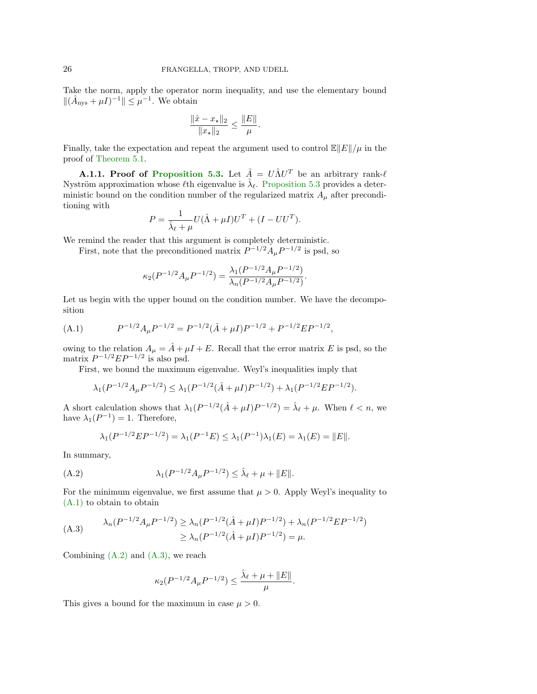Take the norm, apply the operator norm inequality, and use the elementary bound  $\|(\hat{A}_{\text{nys}} + \mu I)^{-1}\| \leq \mu^{-1}$ . We obtain

$$
\frac{\|\hat{x} - x_{\star}\|_2}{\|x_{\star}\|_2} \le \frac{\|E\|}{\mu}.
$$

Finally, take the expectation and repeat the argument used to control  $\mathbb{E}||E||/\mu$  in the proof of [Theorem 5.1.](#page-11-0)

<span id="page-25-0"></span>**A.1.1. Proof of [Proposition 5.3.](#page-12-0)** Let  $\hat{A} = U \hat{\Lambda} U^{T}$  be an arbitrary rank- $\ell$ Nyström approximation whose  $\ell$ th eigenvalue is  $\hat{\lambda}_{\ell}$ . [Proposition 5.3](#page-12-0) provides a deterministic bound on the condition number of the regularized matrix  $A_{\mu}$  after preconditioning with

$$
P = \frac{1}{\hat{\lambda}_{\ell} + \mu} U(\hat{\Lambda} + \mu I)U^{T} + (I - UU^{T}).
$$

We remind the reader that this argument is completely deterministic.

First, note that the preconditioned matrix  $P^{-1/2}A_{\mu}P^{-1/2}$  is psd, so

$$
\kappa_2(P^{-1/2}A_{\mu}P^{-1/2}) = \frac{\lambda_1(P^{-1/2}A_{\mu}P^{-1/2})}{\lambda_n(P^{-1/2}A_{\mu}P^{-1/2})}.
$$

Let us begin with the upper bound on the condition number. We have the decomposition

<span id="page-25-1"></span>(A.1) 
$$
P^{-1/2}A_{\mu}P^{-1/2} = P^{-1/2}(\hat{A} + \mu I)P^{-1/2} + P^{-1/2}EP^{-1/2},
$$

owing to the relation  $A_{\mu} = \hat{A} + \mu I + E$ . Recall that the error matrix E is psd, so the matrix  $P^{-1/2}EP^{-1/2}$  is also psd.

First, we bound the maximum eigenvalue. Weyl's inequalities imply that

$$
\lambda_1(P^{-1/2}A_\mu P^{-1/2}) \le \lambda_1(P^{-1/2}(\hat{A} + \mu I)P^{-1/2}) + \lambda_1(P^{-1/2}EP^{-1/2}).
$$

A short calculation shows that  $\lambda_1(P^{-1/2}(\hat{A} + \mu I)P^{-1/2}) = \hat{\lambda}_{\ell} + \mu$ . When  $\ell < n$ , we have  $\lambda_1(P^{-1}) = 1$ . Therefore,

<span id="page-25-2"></span>
$$
\lambda_1(P^{-1/2}EP^{-1/2}) = \lambda_1(P^{-1}E) \le \lambda_1(P^{-1})\lambda_1(E) = \lambda_1(E) = ||E||.
$$

In summary,

(A.2) 
$$
\lambda_1(P^{-1/2}A_{\mu}P^{-1/2}) \leq \hat{\lambda}_{\ell} + \mu + ||E||.
$$

For the minimum eigenvalue, we first assume that  $\mu > 0$ . Apply Weyl's inequality to [\(A.1\)](#page-25-1) to obtain to obtain

<span id="page-25-3"></span>(A.3) 
$$
\lambda_n(P^{-1/2}A_\mu P^{-1/2}) \ge \lambda_n(P^{-1/2}(\hat{A} + \mu I)P^{-1/2}) + \lambda_n(P^{-1/2}EP^{-1/2})
$$

$$
\ge \lambda_n(P^{-1/2}(\hat{A} + \mu I)P^{-1/2}) = \mu.
$$

Combining  $(A.2)$  and  $(A.3)$ , we reach

$$
\kappa_2(P^{-1/2}A_{\mu}P^{-1/2}) \leq \frac{\hat{\lambda}_{\ell} + \mu + \|E\|}{\mu}.
$$

This gives a bound for the maximum in case  $\mu > 0$ .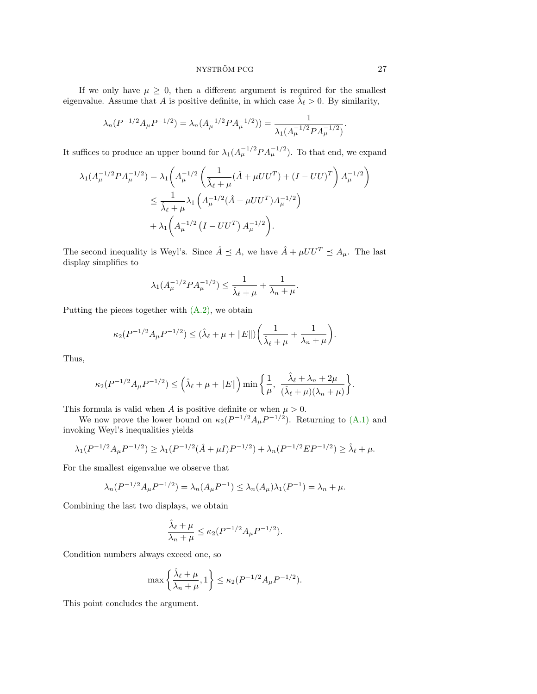#### NYSTRÖM PCG  $27$

If we only have  $\mu \geq 0$ , then a different argument is required for the smallest eigenvalue. Assume that A is positive definite, in which case  $\tilde{\lambda}_{\ell} > 0$ . By similarity,

$$
\lambda_n(P^{-1/2}A_\mu P^{-1/2}) = \lambda_n(A_\mu^{-1/2}PA_\mu^{-1/2})) = \frac{1}{\lambda_1(A_\mu^{-1/2}PA_\mu^{-1/2})}.
$$

It suffices to produce an upper bound for  $\lambda_1(A_\mu^{-1/2} P A_\mu^{-1/2})$ . To that end, we expand

$$
\lambda_1(A_{\mu}^{-1/2}PA_{\mu}^{-1/2}) = \lambda_1\left(A_{\mu}^{-1/2}\left(\frac{1}{\hat{\lambda}_{\ell}+\mu}(\hat{A}+\mu U U^T) + (I-UU)^T\right)A_{\mu}^{-1/2}\right)
$$
  

$$
\leq \frac{1}{\hat{\lambda}_{\ell}+\mu}\lambda_1\left(A_{\mu}^{-1/2}(\hat{A}+\mu U U^T)A_{\mu}^{-1/2}\right)
$$
  

$$
+ \lambda_1\left(A_{\mu}^{-1/2}\left(I-UU^T\right)A_{\mu}^{-1/2}\right).
$$

The second inequality is Weyl's. Since  $\hat{A} \preceq A$ , we have  $\hat{A} + \mu U U^T \preceq A_{\mu}$ . The last display simplifies to

$$
\lambda_1(A_{\mu}^{-1/2}PA_{\mu}^{-1/2}) \le \frac{1}{\hat{\lambda}_{\ell} + \mu} + \frac{1}{\lambda_n + \mu}.
$$

Putting the pieces together with [\(A.2\),](#page-25-2) we obtain

$$
\kappa_2(P^{-1/2}A_{\mu}P^{-1/2}) \le (\hat{\lambda}_{\ell} + \mu + ||E||) \bigg(\frac{1}{\hat{\lambda}_{\ell} + \mu} + \frac{1}{\lambda_n + \mu}\bigg).
$$

Thus,

$$
\kappa_2(P^{-1/2}A_\mu P^{-1/2}) \leq \left(\hat{\lambda}_{\ell} + \mu + \|E\|\right) \min\left\{\frac{1}{\mu}, \frac{\hat{\lambda}_{\ell} + \lambda_n + 2\mu}{(\hat{\lambda}_{\ell} + \mu)(\lambda_n + \mu)}\right\}.
$$

This formula is valid when A is positive definite or when  $\mu > 0$ .

We now prove the lower bound on  $\kappa_2(P^{-1/2}A_\mu P^{-1/2})$ . Returning to [\(A.1\)](#page-25-1) and invoking Weyl's inequalities yields

$$
\lambda_1(P^{-1/2}A_{\mu}P^{-1/2}) \ge \lambda_1(P^{-1/2}(\hat{A} + \mu I)P^{-1/2}) + \lambda_n(P^{-1/2}EP^{-1/2}) \ge \hat{\lambda}_{\ell} + \mu.
$$

For the smallest eigenvalue we observe that

$$
\lambda_n(P^{-1/2}A_\mu P^{-1/2}) = \lambda_n(A_\mu P^{-1}) \le \lambda_n(A_\mu)\lambda_1(P^{-1}) = \lambda_n + \mu.
$$

Combining the last two displays, we obtain

$$
\frac{\widehat{\lambda}_\ell + \mu}{\lambda_n + \mu} \leq \kappa_2 (P^{-1/2} A_\mu P^{-1/2}).
$$

Condition numbers always exceed one, so

$$
\max\left\{\frac{\hat{\lambda}_{\ell}+\mu}{\lambda_n+\mu},1\right\} \le \kappa_2(P^{-1/2}A_{\mu}P^{-1/2}).
$$

This point concludes the argument.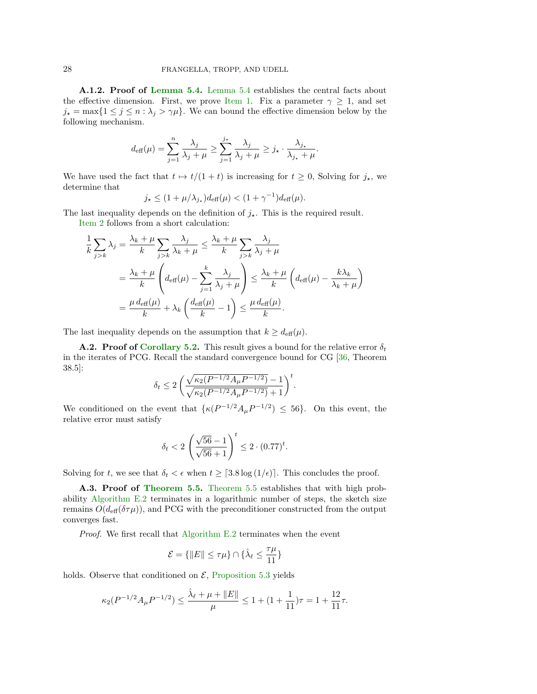<span id="page-27-1"></span>A.1.2. Proof of [Lemma 5.4.](#page-12-1) [Lemma 5.4](#page-12-1) establishes the central facts about the effective dimension. First, we prove [Item 1.](#page-12-3) Fix a parameter  $\gamma \geq 1$ , and set  $j_{\star} = \max\{1 \leq j \leq n : \lambda_j > \gamma\mu\}.$  We can bound the effective dimension below by the following mechanism.

$$
d_{\text{eff}}(\mu) = \sum_{j=1}^n \frac{\lambda_j}{\lambda_j + \mu} \ge \sum_{j=1}^{j_*} \frac{\lambda_j}{\lambda_j + \mu} \ge j_* \cdot \frac{\lambda_{j_*}}{\lambda_{j_*} + \mu}.
$$

We have used the fact that  $t \mapsto t/(1 + t)$  is increasing for  $t \ge 0$ , Solving for  $j_{\star}$ , we determine that

$$
j_{\star} \leq (1 + \mu/\lambda_{j_{\star}})d_{\text{eff}}(\mu) < (1 + \gamma^{-1})d_{\text{eff}}(\mu).
$$

The last inequality depends on the definition of  $j_{\star}$ . This is the required result.

[Item 2](#page-12-4) follows from a short calculation:

$$
\frac{1}{k} \sum_{j>k} \lambda_j = \frac{\lambda_k + \mu}{k} \sum_{j>k} \frac{\lambda_j}{\lambda_k + \mu} \le \frac{\lambda_k + \mu}{k} \sum_{j>k} \frac{\lambda_j}{\lambda_j + \mu}
$$
\n
$$
= \frac{\lambda_k + \mu}{k} \left( d_{\text{eff}}(\mu) - \sum_{j=1}^k \frac{\lambda_j}{\lambda_j + \mu} \right) \le \frac{\lambda_k + \mu}{k} \left( d_{\text{eff}}(\mu) - \frac{k\lambda_k}{\lambda_k + \mu} \right)
$$
\n
$$
= \frac{\mu d_{\text{eff}}(\mu)}{k} + \lambda_k \left( \frac{d_{\text{eff}}(\mu)}{k} - 1 \right) \le \frac{\mu d_{\text{eff}}(\mu)}{k}.
$$

The last inequality depends on the assumption that  $k \geq d_{\text{eff}}(\mu)$ .

<span id="page-27-0"></span>**A.2. Proof of [Corollary 5.2.](#page-11-1)** This result gives a bound for the relative error  $\delta_t$ in the iterates of PCG. Recall the standard convergence bound for CG [\[36,](#page-24-0) Theorem 38.5]:

$$
\delta_t \leq 2\left(\frac{\sqrt{\kappa_2(P^{-1/2}A_{\mu}P^{-1/2})}-1}{\sqrt{\kappa_2(P^{-1/2}A_{\mu}P^{-1/2})}+1}\right)^t.
$$

We conditioned on the event that  $\{\kappa(P^{-1/2}A_{\mu}P^{-1/2})\leq 56\}$ . On this event, the relative error must satisfy

$$
\delta_t < 2 \left( \frac{\sqrt{56} - 1}{\sqrt{56} + 1} \right)^t \le 2 \cdot (0.77)^t.
$$

Solving for t, we see that  $\delta_t < \epsilon$  when  $t \geq [3.8 \log (1/\epsilon)]$ . This concludes the proof.

A.3. Proof of [Theorem 5.5.](#page-14-0) [Theorem 5.5](#page-14-0) establishes that with high probability [Algorithm E.2](#page-36-0) terminates in a logarithmic number of steps, the sketch size remains  $O(d_{\text{eff}}(\delta \tau \mu))$ , and PCG with the preconditioner constructed from the output converges fast.

Proof. We first recall that [Algorithm E.2](#page-36-0) terminates when the event

$$
\mathcal{E} = \{\|E\| \leq \tau \mu\} \cap \{\hat{\lambda}_{\ell} \leq \frac{\tau \mu}{11}\}
$$

holds. Observe that conditioned on  $\mathcal{E}$ , [Proposition 5.3](#page-12-0) yields

$$
\kappa_2(P^{-1/2}A_{\mu}P^{-1/2})\leq \frac{\hat{\lambda}_{\ell}+\mu+\|E\|}{\mu}\leq 1+(1+\frac{1}{11})\tau=1+\frac{12}{11}\tau.
$$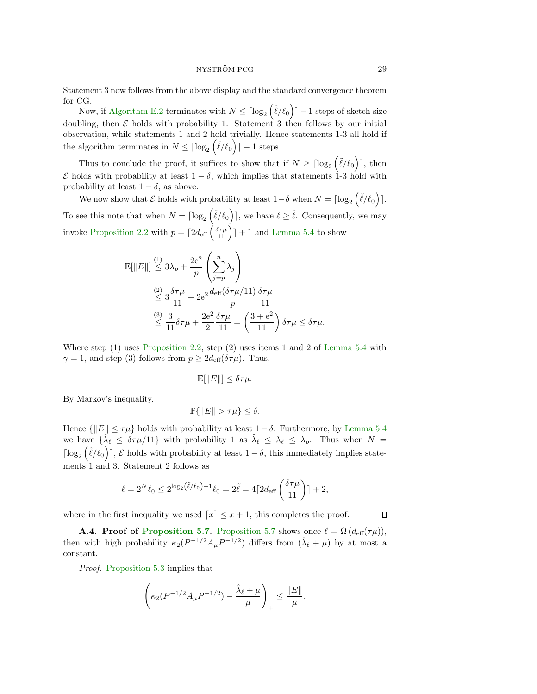Statement 3 now follows from the above display and the standard convergence theorem for CG.

Now, if [Algorithm E.2](#page-36-0) terminates with  $N \leq \lceil \log_2(\tilde{\ell}/\ell_0) \rceil - 1$  steps of sketch size doubling, then  $\mathcal E$  holds with probability 1. Statement 3 then follows by our initial observation, while statements 1 and 2 hold trivially. Hence statements 1-3 all hold if the algorithm terminates in  $N \leq \lceil \log_2(\tilde{\ell}/\ell_0) \rceil - 1$  steps.

Thus to conclude the proof, it suffices to show that if  $N \geq \lceil \log_2(\tilde{\ell}/\ell_0) \rceil$ , then  $\mathcal E$  holds with probability at least  $1 - \delta$ , which implies that statements 1-3 hold with probability at least  $1 - \delta$ , as above.

We now show that  $\mathcal E$  holds with probability at least  $1-\delta$  when  $N = \lceil \log_2(\tilde\ell/\ell_0) \rceil$ . To see this note that when  $N = \lceil \log_2(\tilde{\ell}/\ell_0) \rceil$ , we have  $\ell \geq \tilde{\ell}$ . Consequently, we may invoke [Proposition 2.2](#page-5-0) with  $p = \lceil 2d_{\text{eff}} \left( \frac{\delta \tau \mu}{11} \right) \rceil + 1$  and [Lemma 5.4](#page-12-1) to show

$$
\mathbb{E}[\|E\|] \stackrel{(1)}{\leq} 3\lambda_p + \frac{2e^2}{p} \left(\sum_{j=p}^n \lambda_j\right)
$$
  

$$
\stackrel{(2)}{\leq} 3\frac{\delta\tau\mu}{11} + 2e^2 \frac{d_{\text{eff}}(\delta\tau\mu/11)}{p} \frac{\delta\tau\mu}{11}
$$
  

$$
\stackrel{(3)}{\leq} \frac{3}{11} \delta\tau\mu + \frac{2e^2}{2} \frac{\delta\tau\mu}{11} = \left(\frac{3+e^2}{11}\right) \delta\tau\mu \leq \delta\tau\mu.
$$

Where step  $(1)$  uses [Proposition 2.2,](#page-5-0) step  $(2)$  uses items 1 and 2 of [Lemma 5.4](#page-12-1) with  $\gamma = 1$ , and step (3) follows from  $p \geq 2d_{\text{eff}}(\delta \tau \mu)$ . Thus,

$$
\mathbb{E}[\|E\|] \le \delta \tau \mu.
$$

By Markov's inequality,

$$
\mathbb{P}\{\|E\| > \tau \mu\} \le \delta.
$$

Hence  $\{\Vert E\Vert \leq \tau\mu\}$  holds with probability at least  $1-\delta$ . Furthermore, by [Lemma 5.4](#page-12-1) we have  $\{\hat{\lambda}_\ell \leq \delta\tau\mu/11\}$  with probability 1 as  $\hat{\lambda}_\ell \leq \lambda_\ell \leq \lambda_p$ . Thus when  $N =$  $\lceil \log_2(\tilde{\ell}/\ell_0) \rceil$ ,  $\mathcal E$  holds with probability at least  $1 - \delta$ , this immediately implies statements 1 and 3. Statement 2 follows as

$$
\ell = 2^N \ell_0 \le 2^{\log_2(\tilde{\ell}/\ell_0) + 1} \ell_0 = 2\tilde{\ell} = 4\lceil 2d_{\text{eff}}\left(\frac{\delta \tau \mu}{11}\right) \rceil + 2,
$$

where in the first inequality we used  $\lceil x \rceil \leq x + 1$ , this completes the proof.

**A.4. Proof of [Proposition 5.7.](#page-14-2)** [Proposition 5.7](#page-14-2) shows once  $\ell = \Omega(d_{\text{eff}}(\tau \mu))$ , then with high probability  $\kappa_2(P^{-1/2}A_\mu P^{-1/2})$  differs from  $(\hat{\lambda}_{\ell} + \mu)$  by at most a constant.

Proof. [Proposition 5.3](#page-12-0) implies that

$$
\left(\kappa_2(P^{-1/2}A_{\mu}P^{-1/2}) - \frac{\hat{\lambda}_{\ell} + \mu}{\mu}\right)_{+} \le \frac{\|E\|}{\mu}.
$$

 $\Box$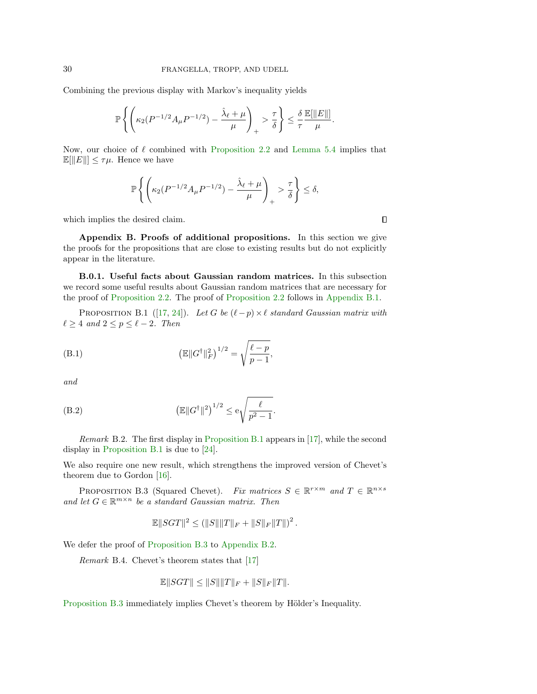Combining the previous display with Markov's inequality yields

$$
\mathbb{P}\left\{\left(\kappa_2(P^{-1/2}A_{\mu}P^{-1/2})-\frac{\hat{\lambda}_{\ell}+\mu}{\mu}\right)_{+}>\frac{\tau}{\delta}\right\}\leq \frac{\delta}{\tau}\frac{\mathbb{E}[\Vert E\Vert]}{\mu}.
$$

Now, our choice of  $\ell$  combined with [Proposition 2.2](#page-5-0) and [Lemma 5.4](#page-12-1) implies that  $\mathbb{E}[\Vert E \Vert] \leq \tau \mu$ . Hence we have

$$
\mathbb{P}\left\{\left(\kappa_2(P^{-1/2}A_{\mu}P^{-1/2})-\frac{\hat{\lambda}_{\ell}+\mu}{\mu}\right)_{+}>\frac{\tau}{\delta}\right\}\leq\delta,
$$

which implies the desired claim.

Appendix B. Proofs of additional propositions. In this section we give the proofs for the propositions that are close to existing results but do not explicitly appear in the literature.

B.0.1. Useful facts about Gaussian random matrices. In this subsection we record some useful results about Gaussian random matrices that are necessary for the proof of [Proposition 2.2.](#page-5-0) The proof of [Proposition 2.2](#page-5-0) follows in [Appendix B.1.](#page-30-0)

PROPOSITION B.1 ([\[17,](#page-23-23) [24\]](#page-23-24)). Let G be  $(\ell-p) \times \ell$  standard Gaussian matrix with  $\ell \geq 4$  and  $2 \leq p \leq \ell - 2$ . Then

(B.1) 
$$
\left(\mathbb{E} \|G^{\dagger}\|_{F}^{2}\right)^{1/2} = \sqrt{\frac{\ell - p}{p - 1}},
$$

and

(B.2) 
$$
\left(\mathbb{E} \|G^{\dagger}\|^2\right)^{1/2} \leq e \sqrt{\frac{\ell}{p^2 - 1}}.
$$

Remark B.2. The first display in [Proposition B.1](#page-29-0) appears in [\[17\]](#page-23-23), while the second display in [Proposition B.1](#page-29-0) is due to [\[24\]](#page-23-24).

We also require one new result, which strengthens the improved version of Chevet's theorem due to Gordon [\[16\]](#page-23-25).

PROPOSITION B.3 (Squared Chevet). Fix matrices  $S \in \mathbb{R}^{r \times m}$  and  $T \in \mathbb{R}^{n \times s}$ and let  $G \in \mathbb{R}^{m \times n}$  be a standard Gaussian matrix. Then

<span id="page-29-1"></span>
$$
\mathbb{E}||SGT||^2 \le (||S|| ||T||_F + ||S||_F ||T||)^2.
$$

We defer the proof of [Proposition B.3](#page-29-1) to [Appendix B.2.](#page-32-0)

Remark B.4. Chevet's theorem states that [\[17\]](#page-23-23)

$$
\mathbb{E}\|SGT\| \leq \|S\| \|T\|_F + \|S\|_F \|T\|.
$$

[Proposition B.3](#page-29-1) immediately implies Chevet's theorem by Hölder's Inequality.

<span id="page-29-0"></span> $\Box$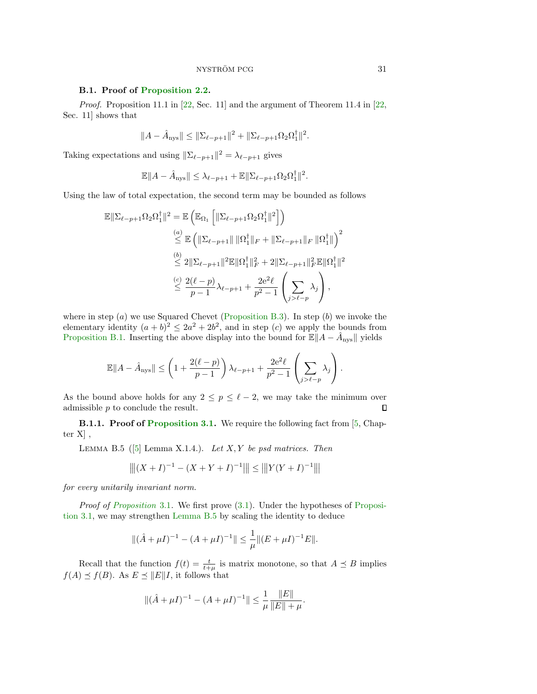### <span id="page-30-0"></span>B.1. Proof of [Proposition 2.2.](#page-5-0)

Proof. Proposition 11.1 in [\[22,](#page-23-0) Sec. 11] and the argument of Theorem 11.4 in [22, Sec. 11] shows that

$$
||A - \hat{A}_{\text{nys}}|| \le ||\Sigma_{\ell - p + 1}||^2 + ||\Sigma_{\ell - p + 1}\Omega_2\Omega_1^{\dagger}||^2.
$$

Taking expectations and using  $\|\Sigma_{\ell-p+1}\|^2 = \lambda_{\ell-p+1}$  gives

$$
\mathbb{E}||A - \hat{A}_{\text{nys}}|| \leq \lambda_{\ell-p+1} + \mathbb{E}||\Sigma_{\ell-p+1}\Omega_2\Omega_1^{\dagger}||^2.
$$

Using the law of total expectation, the second term may be bounded as follows

$$
\mathbb{E} \|\Sigma_{\ell-p+1}\Omega_2\Omega_1^{\dagger}\|^2 = \mathbb{E}\left(\mathbb{E}_{\Omega_1}\left[\|\Sigma_{\ell-p+1}\Omega_2\Omega_1^{\dagger}\|^2\right]\right)
$$
  

$$
\stackrel{(a)}{\leq} \mathbb{E}\left(\|\Sigma_{\ell-p+1}\| \|\Omega_1^{\dagger}\|_F + \|\Sigma_{\ell-p+1}\|_F \|\Omega_1^{\dagger}\|\right)^2
$$
  

$$
\stackrel{(b)}{\leq} 2\|\Sigma_{\ell-p+1}\|^2 \mathbb{E}\|\Omega_1^{\dagger}\|_F^2 + 2\|\Sigma_{\ell-p+1}\|_F^2 \mathbb{E}\|\Omega_1^{\dagger}\|^2
$$
  

$$
\stackrel{(c)}{\leq} \frac{2(\ell-p)}{p-1}\lambda_{\ell-p+1} + \frac{2e^2\ell}{p^2-1}\left(\sum_{j>\ell-p}\lambda_j\right),
$$

where in step  $(a)$  we use Squared Chevet [\(Proposition B.3\)](#page-29-1). In step  $(b)$  we invoke the elementary identity  $(a + b)^2 \le 2a^2 + 2b^2$ , and in step (c) we apply the bounds from [Proposition B.1.](#page-29-0) Inserting the above display into the bound for  $\mathbb{E}||A - \hat{A}_{\text{nys}}||$  yields

$$
\mathbb{E}||A - \hat{A}_{\text{nys}}|| \le \left(1 + \frac{2(\ell - p)}{p - 1}\right)\lambda_{\ell - p + 1} + \frac{2e^2\ell}{p^2 - 1}\left(\sum_{j > \ell - p} \lambda_j\right).
$$

As the bound above holds for any  $2 \le p \le \ell - 2$ , we may take the minimum over admissible p to conclude the result. admissible  $p$  to conclude the result.

**B.1.1. Proof of [Proposition 3.1.](#page-6-3)** We require the following fact from [\[5,](#page-22-4) Chapter  $X$ ,

<span id="page-30-1"></span>LEMMA B.5 ([\[5\]](#page-22-4) Lemma X.1.4.). Let  $X, Y$  be psd matrices. Then

$$
\left\| |(X+I)^{-1} - (X+Y+I)^{-1}|| \right\| \le \| |Y(Y+I)^{-1}|| |
$$

for every unitarily invariant norm.

Proof of [Proposition](#page-6-3) 3.1. We first prove  $(3.1)$ . Under the hypotheses of [Proposi](#page-6-3)[tion 3.1,](#page-6-3) we may strengthen [Lemma B.5](#page-30-1) by scaling the identity to deduce

$$
\|(\hat{A} + \mu I)^{-1} - (A + \mu I)^{-1}\| \le \frac{1}{\mu} \|(E + \mu I)^{-1}E\|.
$$

Recall that the function  $f(t) = \frac{t}{t+\mu}$  is matrix monotone, so that  $A \preceq B$  implies  $f(A) \preceq f(B)$ . As  $E \preceq ||E||I$ , it follows that

$$
\|(\hat{A} + \mu I)^{-1} - (A + \mu I)^{-1}\| \le \frac{1}{\mu} \frac{\|E\|}{\|E\| + \mu}.
$$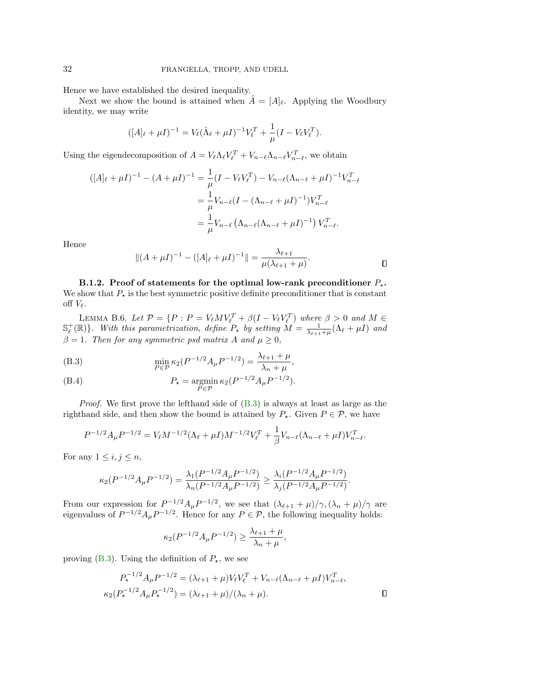Hence we have established the desired inequality.

Next we show the bound is attained when  $A = [A]_{\ell}$ . Applying the Woodbury identity, we may write

$$
([A]_{\ell} + \mu I)^{-1} = V_{\ell} (\hat{\Lambda}_{\ell} + \mu I)^{-1} V_{\ell}^{T} + \frac{1}{\mu} (I - V_{\ell} V_{\ell}^{T}).
$$

Using the eigendecomposition of  $A = V_{\ell} \Lambda_{\ell} V_{\ell}^T + V_{n-\ell} \Lambda_{n-\ell} V_{n-\ell}^T$ , we obtain

$$
([A]_{\ell} + \mu I)^{-1} - (A + \mu I)^{-1} = \frac{1}{\mu} (I - V_{\ell} V_{\ell}^{T}) - V_{n-\ell} (\Lambda_{n-\ell} + \mu I)^{-1} V_{n-\ell}^{T}
$$
  

$$
= \frac{1}{\mu} V_{n-\ell} (I - (\Lambda_{n-\ell} + \mu I)^{-1}) V_{n-\ell}^{T}
$$
  

$$
= \frac{1}{\mu} V_{n-\ell} (\Lambda_{n-\ell} (\Lambda_{n-\ell} + \mu I)^{-1}) V_{n-\ell}^{T}.
$$

Hence

$$
||(A + \mu I)^{-1} - ([A]_{\ell} + \mu I)^{-1}|| = \frac{\lambda_{\ell+1}}{\mu(\lambda_{\ell+1} + \mu)}.
$$

<span id="page-31-0"></span>B.1.2. Proof of statements for the optimal low-rank preconditioner  $P_{\star}$ . We show that  $P_{\star}$  is the best symmetric positive definite preconditioner that is constant off  $V_{\ell}$ .

LEMMA B.6. Let  $\mathcal{P} = \{P : P = V_{\ell}MV_{\ell}^T + \beta(I - V_{\ell}V_{\ell}^T)$  where  $\beta > 0$  and  $M \in \mathbb{S}_{\ell}^+(\mathbb{R})\}$ . With this parametrization, define  $P_{\star}$  by setting  $M = \frac{1}{\lambda_{\ell+1} + \mu}(\Lambda_{\ell} + \mu I)$  and  $\beta = 1$ . Then for any symmetric psd matrix A and  $\mu \geq 0$ ,

<span id="page-31-1"></span>(B.3) 
$$
\min_{P \in \mathcal{P}} \kappa_2(P^{-1/2}A_\mu P^{-1/2}) = \frac{\lambda_{\ell+1} + \mu}{\lambda_n + \mu},
$$

(B.4) 
$$
P_{\star} = \operatorname*{argmin}_{P \in \mathcal{P}} \kappa_2 (P^{-1/2} A_{\mu} P^{-1/2}).
$$

*Proof.* We first prove the lefthand side of  $(B.3)$  is always at least as large as the righthand side, and then show the bound is attained by  $P_{\star}$ . Given  $P \in \mathcal{P}$ , we have

$$
P^{-1/2}A_{\mu}P^{-1/2} = V_{\ell}M^{-1/2}(\Lambda_{\ell} + \mu I)M^{-1/2}V_{\ell}^{T} + \frac{1}{\beta}V_{n-\ell}(\Lambda_{n-\ell} + \mu I)V_{n-\ell}^{T}.
$$

For any  $1 \leq i, j \leq n$ ,

$$
\kappa_2(P^{-1/2}A_{\mu}P^{-1/2})=\frac{\lambda_1(P^{-1/2}A_{\mu}P^{-1/2})}{\lambda_n(P^{-1/2}A_{\mu}P^{-1/2})}\geq \frac{\lambda_i(P^{-1/2}A_{\mu}P^{-1/2})}{\lambda_j(P^{-1/2}A_{\mu}P^{-1/2})}.
$$

From our expression for  $P^{-1/2}A_{\mu}P^{-1/2}$ , we see that  $(\lambda_{\ell+1} + \mu)/\gamma$ ,  $(\lambda_n + \mu)/\gamma$  are eigenvalues of  $P^{-1/2}A_{\mu}P^{-1/2}$ . Hence for any  $P \in \mathcal{P}$ , the following inequality holds:

$$
\kappa_2(P^{-1/2}A_{\mu}P^{-1/2})\geq \frac{\lambda_{\ell+1}+\mu}{\lambda_n+\mu},
$$

proving [\(B.3\)](#page-31-1). Using the definition of  $P_{\star}$ , we see

$$
P_{\star}^{-1/2} A_{\mu} P^{-1/2} = (\lambda_{\ell+1} + \mu) V_{\ell} V_{\ell}^{T} + V_{n-\ell} (\Lambda_{n-\ell} + \mu I) V_{n-\ell}^{T},
$$
  

$$
\kappa_2 (P_{\star}^{-1/2} A_{\mu} P_{\star}^{-1/2}) = (\lambda_{\ell+1} + \mu) / (\lambda_n + \mu).
$$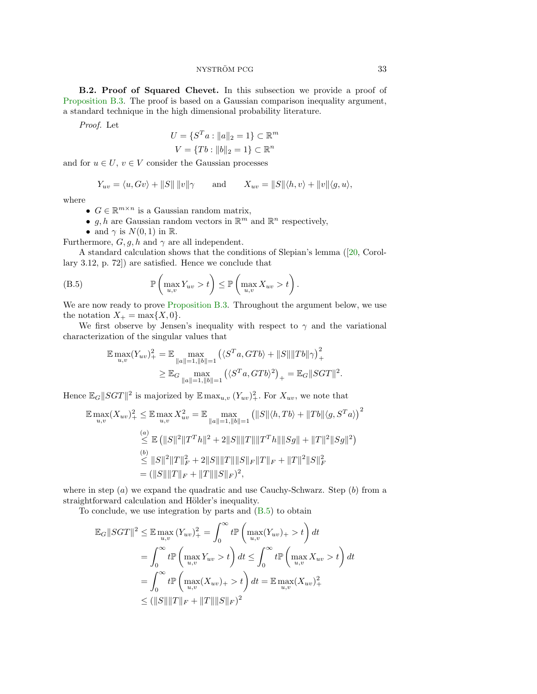NYSTRÖM PCG 33

<span id="page-32-0"></span>B.2. Proof of Squared Chevet. In this subsection we provide a proof of [Proposition B.3.](#page-29-1) The proof is based on a Gaussian comparison inequality argument, a standard technique in the high dimensional probability literature.

Proof. Let

$$
U = \{S^T a : ||a||_2 = 1\} \subset \mathbb{R}^m
$$
  

$$
V = \{Tb : ||b||_2 = 1\} \subset \mathbb{R}^n
$$

and for  $u \in U$ ,  $v \in V$  consider the Gaussian processes

$$
Y_{uv} = \langle u, Gv \rangle + ||S|| ||v|| \gamma \quad \text{and} \quad X_{uv} = ||S|| \langle h, v \rangle + ||v|| \langle g, u \rangle,
$$

where

- $G \in \mathbb{R}^{m \times n}$  is a Gaussian random matrix,
- $g, h$  are Gaussian random vectors in  $\mathbb{R}^m$  and  $\mathbb{R}^n$  respectively,

<span id="page-32-1"></span>• and  $\gamma$  is  $N(0, 1)$  in  $\mathbb{R}$ .

Furthermore,  $G, g, h$  and  $\gamma$  are all independent.

A standard calculation shows that the conditions of Slepian's lemma ([\[20,](#page-23-26) Corollary 3.12, p. 72]) are satisfied. Hence we conclude that

(B.5) 
$$
\mathbb{P}\left(\max_{u,v} Y_{uv} > t\right) \leq \mathbb{P}\left(\max_{u,v} X_{uv} > t\right).
$$

We are now ready to prove [Proposition B.3.](#page-29-1) Throughout the argument below, we use the notation  $X_+ = \max\{X, 0\}.$ 

We first observe by Jensen's inequality with respect to  $\gamma$  and the variational characterization of the singular values that

$$
\mathbb{E} \max_{u,v} (Y_{uv})_+^2 = \mathbb{E} \max_{\|a\|=1, \|b\|=1} \left( \langle S^T a, GTb \rangle + \|S\| \|Tb\| \gamma \right)_+^2
$$
  

$$
\geq \mathbb{E} \sup_{\|a\|=1, \|b\|=1} \left( \langle S^T a, GTb \rangle^2 \right)_+ = \mathbb{E} \sup_{\|SGT\|^2} |SGT\|^2.
$$

Hence  $\mathbb{E}_G ||SGT||^2$  is majorized by  $\mathbb{E} \max_{u,v} (Y_{uv})^2_+$ . For  $X_{uv}$ , we note that

$$
\mathbb{E} \max_{u,v} (X_{uv})_+^2 \leq \mathbb{E} \max_{u,v} X_{uv}^2 = \mathbb{E} \max_{\|a\|=1, \|b\|=1} \left( \|S\| \langle h, Tb \rangle + \|Tb\| \langle g, S^T a \rangle \right)^2
$$
  
\n
$$
\leq \mathbb{E} \left( \|S\|^2 \|T^T h\|^2 + 2\|S\| \|T\| \|T^T h\| \|Sg\| + \|T\|^2 \|Sg\|^2 \right)
$$
  
\n(b)  
\n
$$
\leq \|S\|^2 \|T\|_F^2 + 2\|S\| \|T\| \|S\|_F \|T\|_F + \|T\|^2 \|S\|_F^2
$$
  
\n
$$
= (\|S\| \|T\|_F + \|T\| \|S\|_F)^2,
$$

where in step  $(a)$  we expand the quadratic and use Cauchy-Schwarz. Step  $(b)$  from a straightforward calculation and Hölder's inequality.

To conclude, we use integration by parts and [\(B.5\)](#page-32-1) to obtain

$$
\mathbb{E}_{G}||SGT||^{2} \leq \mathbb{E} \max_{u,v} (Y_{uv})_{+}^{2} = \int_{0}^{\infty} t \mathbb{P} \left( \max_{u,v} (Y_{uv})_{+} > t \right) dt
$$
  
= 
$$
\int_{0}^{\infty} t \mathbb{P} \left( \max_{u,v} Y_{uv} > t \right) dt \leq \int_{0}^{\infty} t \mathbb{P} \left( \max_{u,v} X_{uv} > t \right) dt
$$
  
= 
$$
\int_{0}^{\infty} t \mathbb{P} \left( \max_{u,v} (X_{uv})_{+} > t \right) dt = \mathbb{E} \max_{u,v} (X_{uv})_{+}^{2}
$$
  

$$
\leq (||S|| ||T||_{F} + ||T|| ||S||_{F})^{2}
$$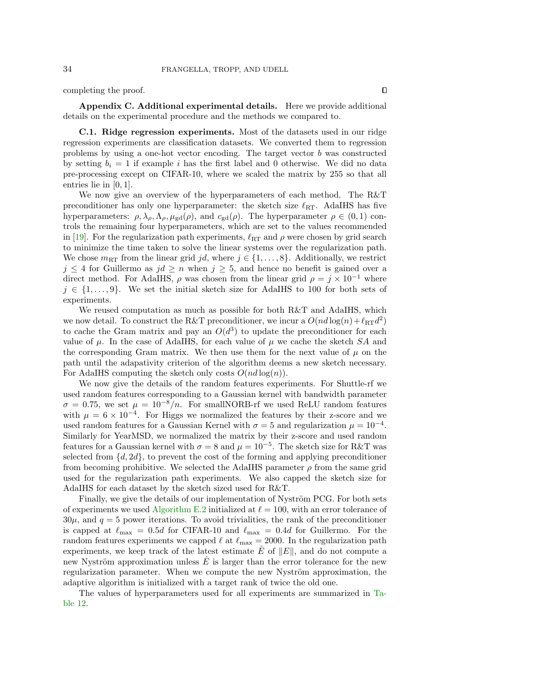completing the proof.

<span id="page-33-0"></span>Appendix C. Additional experimental details. Here we provide additional details on the experimental procedure and the methods we compared to.

<span id="page-33-1"></span>C.1. Ridge regression experiments. Most of the datasets used in our ridge regression experiments are classification datasets. We converted them to regression problems by using a one-hot vector encoding. The target vector b was constructed by setting  $b_i = 1$  if example i has the first label and 0 otherwise. We did no data pre-processing except on CIFAR-10, where we scaled the matrix by 255 so that all entries lie in [0, 1].

We now give an overview of the hyperparameters of each method. The R&T preconditioner has only one hyperparameter: the sketch size  $\ell_{\text{RT}}$ . AdaIHS has five hyperparameters:  $\rho, \lambda_{\rho}, \Lambda_{\rho}, \mu_{gd}(\rho)$ , and  $c_{gd}(\rho)$ . The hyperparameter  $\rho \in (0, 1)$  controls the remaining four hyperparameters, which are set to the values recommended in [\[19\]](#page-23-2). For the regularization path experiments,  $\ell_{\rm RT}$  and  $\rho$  were chosen by grid search to minimize the time taken to solve the linear systems over the regularization path. We chose  $m_{\text{RT}}$  from the linear grid jd, where  $j \in \{1, \ldots, 8\}$ . Additionally, we restrict  $j \leq 4$  for Guillermo as  $jd \geq n$  when  $j \geq 5$ , and hence no benefit is gained over a direct method. For AdaIHS,  $\rho$  was chosen from the linear grid  $\rho = j \times 10^{-1}$  where  $j \in \{1, \ldots, 9\}$ . We set the initial sketch size for AdaIHS to 100 for both sets of experiments.

We reused computation as much as possible for both R&T and AdaIHS, which we now detail. To construct the R&T preconditioner, we incur a  $O(nd \log(n) + \ell_{RT}d^2)$ to cache the Gram matrix and pay an  $O(d^3)$  to update the preconditioner for each value of  $\mu$ . In the case of AdaIHS, for each value of  $\mu$  we cache the sketch SA and the corresponding Gram matrix. We then use them for the next value of  $\mu$  on the path until the adapativity criterion of the algorithm deems a new sketch necessary. For AdaIHS computing the sketch only costs  $O(nd \log(n))$ .

We now give the details of the random features experiments. For Shuttle-rf we used random features corresponding to a Gaussian kernel with bandwidth parameter  $\sigma = 0.75$ , we set  $\mu = 10^{-8}/n$ . For smallNORB-rf we used ReLU random features with  $\mu = 6 \times 10^{-4}$ . For Higgs we normalized the features by their z-score and we used random features for a Gaussian Kernel with  $\sigma = 5$  and regularization  $\mu = 10^{-4}$ . Similarly for YearMSD, we normalized the matrix by their z-score and used random features for a Gaussian kernel with  $\sigma = 8$  and  $\mu = 10^{-5}$ . The sketch size for R&T was selected from  $\{d, 2d\}$ , to prevent the cost of the forming and applying preconditioner from becoming prohibitive. We selected the AdaIHS parameter  $\rho$  from the same grid used for the regularization path experiments. We also capped the sketch size for AdaIHS for each dataset by the sketch sized used for R&T.

Finally, we give the details of our implementation of Nyström PCG. For both sets of experiments we used [Algorithm E.2](#page-36-0) initialized at  $\ell = 100$ , with an error tolerance of  $30\mu$ , and  $q = 5$  power iterations. To avoid trivialities, the rank of the preconditioner is capped at  $\ell_{\text{max}} = 0.5d$  for CIFAR-10 and  $\ell_{\text{max}} = 0.4d$  for Guillermo. For the random features experiments we capped  $\ell$  at  $\ell_{\rm max} = 2000.$  In the regularization path experiments, we keep track of the latest estimate  $\hat{E}$  of  $||E||$ , and do not compute a new Nyström approximation unless  $E$  is larger than the error tolerance for the new regularization parameter. When we compute the new Nyström approximation, the adaptive algorithm is initialized with a target rank of twice the old one.

The values of hyperparameters used for all experiments are summarized in [Ta](#page-34-1)[ble 12.](#page-34-1)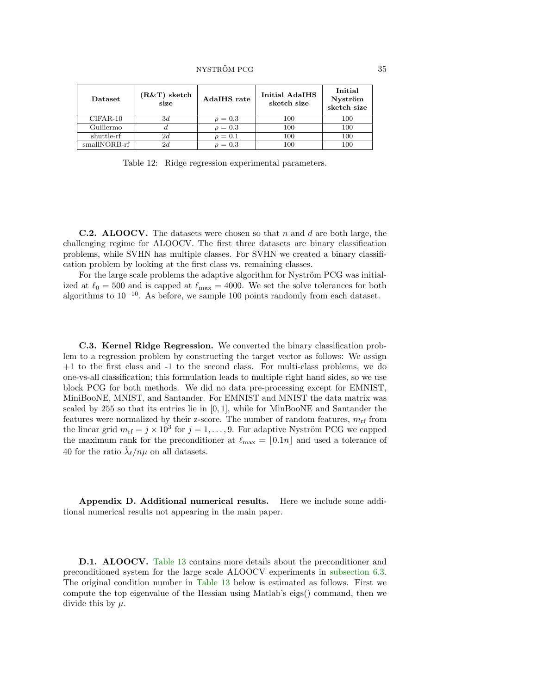<span id="page-34-1"></span>

| Dataset      | $(R&T)$ sketch<br>size | AdaIHS rate  | <b>Initial AdaIHS</b><br>sketch size | Initial<br>Nyström<br>sketch size |
|--------------|------------------------|--------------|--------------------------------------|-----------------------------------|
| $CIFAR-10$   | 3d                     | $\rho = 0.3$ | 100                                  | 100                               |
| Guillermo    |                        | $\rho = 0.3$ | 100                                  | 100                               |
| shuttle-rf   | 2d                     | $\rho = 0.1$ | 100                                  | 100                               |
| smallNORB-rf | 2d                     | $\rho = 0.3$ | 100                                  | 100                               |

Table 12: Ridge regression experimental parameters.

**C.2. ALOOCV.** The datasets were chosen so that n and d are both large, the challenging regime for ALOOCV. The first three datasets are binary classification problems, while SVHN has multiple classes. For SVHN we created a binary classification problem by looking at the first class vs. remaining classes.

For the large scale problems the adaptive algorithm for Nyström PCG was initialized at  $\ell_0 = 500$  and is capped at  $\ell_{\rm max} = 4000$ . We set the solve tolerances for both algorithms to  $10^{-10}$ . As before, we sample 100 points randomly from each dataset.

C.3. Kernel Ridge Regression. We converted the binary classification problem to a regression problem by constructing the target vector as follows: We assign +1 to the first class and -1 to the second class. For multi-class problems, we do one-vs-all classification; this formulation leads to multiple right hand sides, so we use block PCG for both methods. We did no data pre-processing except for EMNIST, MiniBooNE, MNIST, and Santander. For EMNIST and MNIST the data matrix was scaled by 255 so that its entries lie in  $[0, 1]$ , while for MinBooNE and Santander the features were normalized by their z-score. The number of random features,  $m_{\text{rf}}$  from the linear grid  $m_{\text{rf}} = j \times 10^3$  for  $j = 1, ..., 9$ . For adaptive Nyström PCG we capped the maximum rank for the preconditioner at  $\ell_{\text{max}} = [0.1n]$  and used a tolerance of 40 for the ratio  $\hat{\lambda}_{\ell}/n\mu$  on all datasets.

<span id="page-34-0"></span>Appendix D. Additional numerical results. Here we include some additional numerical results not appearing in the main paper.

D.1. ALOOCV. [Table 13](#page-35-2) contains more details about the preconditioner and preconditioned system for the large scale ALOOCV experiments in [subsection 6.3.](#page-17-1) The original condition number in [Table 13](#page-35-2) below is estimated as follows. First we compute the top eigenvalue of the Hessian using Matlab's eigs() command, then we divide this by  $\mu$ .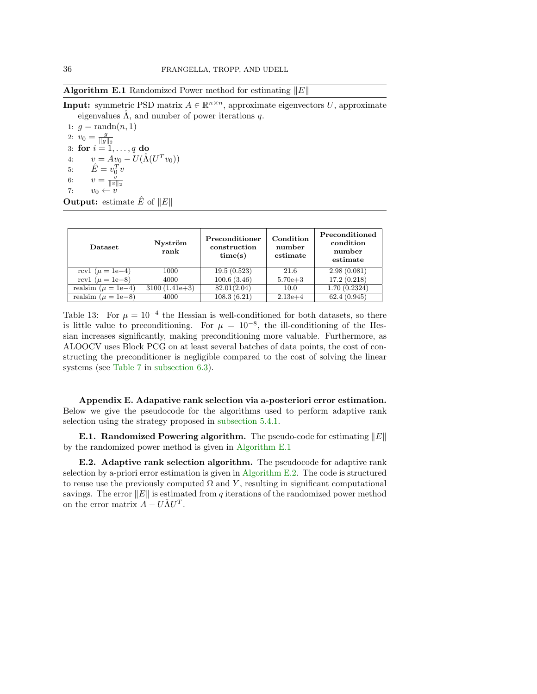<span id="page-35-0"></span>**Algorithm E.1** Randomized Power method for estimating  $||E||$ 

**Input:** symmetric PSD matrix  $A \in \mathbb{R}^{n \times n}$ , approximate eigenvectors U, approximate eigenvalues  $\hat{\Lambda}$ , and number of power iterations q.

1:  $q = \text{randn}(n, 1)$ 2:  $v_0 = \frac{g}{\|g\|_2}$ 3: for  $i = 1, \ldots, q$  do 4:  $v = Av_0 - U(\hat{\Lambda}(U^T v_0))$ 5:  $\hat{E} = v_0^T v$ 6:  $v = \frac{v}{\|v\|_2}$ <br>7:  $v_0 \leftarrow v$ 

**Output:** estimate  $\hat{E}$  of  $||E||$ 

<span id="page-35-2"></span>

| <b>Dataset</b>         | Nyström<br>rank | Preconditioner<br>construction<br>time(s) | Condition<br>number<br>estimate | Preconditioned<br>condition<br>number<br>estimate |
|------------------------|-----------------|-------------------------------------------|---------------------------------|---------------------------------------------------|
| rcv1 ( $\mu = 1e-4$ )  | 1000            | 19.5(0.523)                               | 21.6                            | 2.98(0.081)                                       |
| rcv1 ( $\mu = 1e-8$ )  | 4000            | 100.6(3.46)                               | $5.70e + 3$                     | 17.2(0.218)                                       |
| realsim $(\mu = 1e-4)$ | $3100(1.41e+3)$ | 82.01(2.04)                               | 10.0                            | 1.70(0.2324)                                      |
| realsim $(\mu = 1e-8)$ | 4000            | 108.3(6.21)                               | $2.13e+4$                       | 62.4(0.945)                                       |

Table 13: For  $\mu = 10^{-4}$  the Hessian is well-conditioned for both datasets, so there is little value to preconditioning. For  $\mu = 10^{-8}$ , the ill-conditioning of the Hessian increases significantly, making preconditioning more valuable. Furthermore, as ALOOCV uses Block PCG on at least several batches of data points, the cost of constructing the preconditioner is negligible compared to the cost of solving the linear systems (see [Table 7](#page-20-0) in [subsection 6.3\)](#page-17-1).

<span id="page-35-1"></span>Appendix E. Adapative rank selection via a-posteriori error estimation. Below we give the pseudocode for the algorithms used to perform adaptive rank selection using the strategy proposed in [subsection 5.4.1.](#page-13-2)

**E.1. Randomized Powering algorithm.** The pseudo-code for estimating  $||E||$ by the randomized power method is given in [Algorithm E.1](#page-35-0)

E.2. Adaptive rank selection algorithm. The pseudocode for adaptive rank selection by a-priori error estimation is given in [Algorithm E.2.](#page-36-0) The code is structured to reuse use the previously computed  $\Omega$  and Y, resulting in significant computational savings. The error  $||E||$  is estimated from q iterations of the randomized power method on the error matrix  $\ddot{A} - U \hat{\Lambda} U^{T}$ .